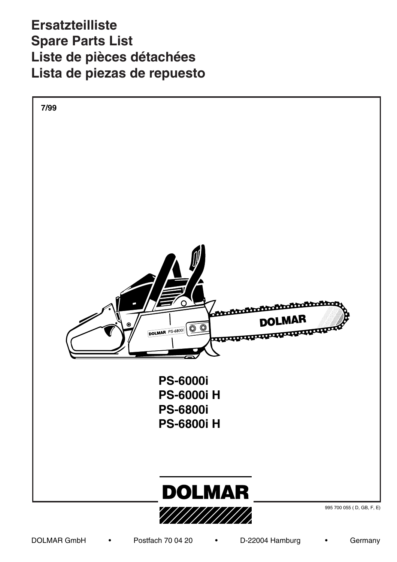**Benennung Description Désignation Denominación Anz.**  $\Box$ Lista de piezas de repuesto **Teil-Nr. P** 0 **Hinweise Notes Renseignement Liste de pièces détachées PS-6000i PS-6800i Ersatzteilliste Spare Parts List**

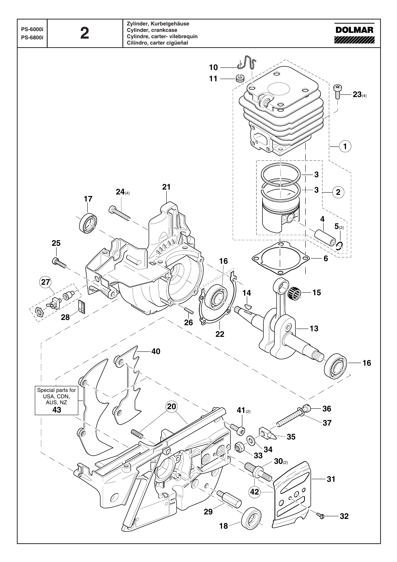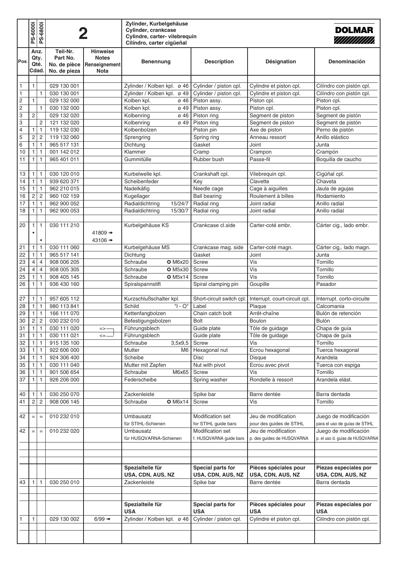|                                  | PS-6000i                       | PS-6800i                   |                                                      |                                                                 | Zylinder, Kurbelgehäuse<br>Cylinder, crankcase<br>Cylindre, carter-vilebrequin<br>Cilíndro, carter cigüeñal |                                          |                                                 | <b>DOLMAR</b><br>/////////////                         |
|----------------------------------|--------------------------------|----------------------------|------------------------------------------------------|-----------------------------------------------------------------|-------------------------------------------------------------------------------------------------------------|------------------------------------------|-------------------------------------------------|--------------------------------------------------------|
| Pos.                             | Anz.<br>Qty.<br>Qté.<br>Cdad.  |                            | Teil-Nr.<br>Part No.<br>No. de pièce<br>No. de pieza | <b>Hinweise</b><br><b>Notes</b><br>Renseignement<br><b>Nota</b> | <b>Benennung</b>                                                                                            | <b>Description</b>                       | Désignation                                     | Denominación                                           |
| 1                                | $\mathbf{1}$                   |                            | 029 130 001                                          |                                                                 | Zylinder / Kolben kpl. ø 46                                                                                 | Cylinder / piston cpl.                   | Cylindre et piston cpl.                         | Cilíndro con pistón cpl.                               |
| $\mathbf{1}$                     |                                | $\mathbf{1}$               | 030 130 001                                          |                                                                 | Zylinder / Kolben kpl. ø 49                                                                                 | Cylinder / piston cpl.                   | Cylindre et piston cpl.                         | Cilíndro con pistón cpl.                               |
| $\overline{2}$                   | $\mathbf{1}$                   |                            | 029 132 000                                          |                                                                 | Kolben kpl.<br>ø 46                                                                                         | Piston assy.                             | Piston cpl.                                     | Piston cpl.                                            |
| $\overline{2}$                   |                                | 1                          | 030 132 000                                          |                                                                 | Kolben kpl.<br>ø 49                                                                                         | Piston assy.                             | Piston cpl.                                     | Piston cpl.                                            |
| $\overline{3}$                   | $\sqrt{2}$                     |                            | 029 132 020                                          |                                                                 | Kolbenring<br>ø 46                                                                                          | Piston ring                              | Segment de piston                               | Segment de pistón                                      |
| $\overline{3}$                   |                                | 2                          | 121 132 020                                          |                                                                 | Kolbenring<br>ø 49                                                                                          | Piston ring                              | Segment de piston                               | Segment de pistón                                      |
| $\overline{4}$<br>$\overline{5}$ | $\mathbf{1}$                   | 1                          | 119 132 030                                          |                                                                 | Kolbenbolzen                                                                                                | Piston pin                               | Axe de piston<br>Anneau ressort                 | Perno de pistón<br>Anillo elástico                     |
| $\overline{6}$                   | $\overline{c}$<br>$\mathbf{1}$ | $\sqrt{2}$<br>$\mathbf{1}$ | 119 132 060<br>965 517 131                           |                                                                 | Sprengring<br>Dichtung                                                                                      | Spring ring<br>Gasket                    | Joint                                           | Junta                                                  |
| 10                               | $\mathbf{1}$                   | 1                          | 001 142 012                                          |                                                                 | Klammer                                                                                                     | Cramp                                    | Crampon                                         | Crampón                                                |
| 11                               | $\mathbf{1}$                   | 1                          | 965 401 011                                          |                                                                 | Gummitülle                                                                                                  | Rubber bush                              | Passe-fil                                       | Boquilla de caucho                                     |
|                                  |                                |                            |                                                      |                                                                 |                                                                                                             |                                          |                                                 |                                                        |
| 13                               | 1                              | 1                          | 030 120 010                                          |                                                                 | Kurbelwelle kpl.                                                                                            | Crankshaft cpl.                          | Vilebrequin cpl.                                | Cigüñal cpl.                                           |
| 14                               | $\mathbf{1}$                   | $\mathbf{1}$               | 939 620 371                                          |                                                                 | Scheibenfeder                                                                                               | Key                                      | Clavette                                        | Chaveta                                                |
| 15                               | $\mathbf{1}$                   | $\mathbf{1}$               | 962 210 015                                          |                                                                 | Nadelkäfig                                                                                                  | Needle cage                              | Cage à aiguilles                                | Jaula de agujas                                        |
| $\overline{16}$                  | $\sqrt{2}$                     | $\overline{c}$             | 960 102 159                                          |                                                                 | Kugellager                                                                                                  | <b>Ball bearing</b>                      | Roulement à billes                              | Rodamiento                                             |
| 17                               | $\mathbf{1}$                   | 1                          | 962 900 052                                          |                                                                 | Radialdichtring<br>15/24/7                                                                                  | Radial ring                              | Joint radial                                    | Anillo radial                                          |
| 18                               | $\mathbf{1}$                   | 1                          | 962 900 053                                          |                                                                 | Radialdichtring<br>15/30/7                                                                                  | Radial ring                              | Joint radial                                    | Anillo radial                                          |
| 20                               | $\overline{1}$<br>٠            | 1<br>$\bullet$             | 030 111 210                                          | 41809<br>43106                                                  | Kurbelgehäuse KS                                                                                            | Crankcase cl.side                        | Carter-coté embr.                               | Cárter cig., lado embr.                                |
| 21                               | $\mathbf{1}$                   | 1                          | 030 111 060                                          |                                                                 | Kurbelgehäuse MS                                                                                            | Crankcase mag. side                      | Carter-coté magn.                               | Cárter cig,. lado magn.                                |
| $\overline{22}$                  | $\overline{1}$                 | $\mathbf{1}$               | 965 517 141                                          |                                                                 | Dichtung                                                                                                    | Gasket                                   | Joint                                           | Junta                                                  |
| $\overline{23}$                  | 4                              | $\overline{4}$             | 908 006 205                                          |                                                                 | Schraube<br><b>C</b> M6x20                                                                                  | Screw                                    | Vis                                             | Tornillo                                               |
| $\overline{24}$                  | $\overline{4}$                 | 4                          | 908 005 305                                          |                                                                 | Schraube<br><b>C</b> M5x30                                                                                  | Screw                                    | Vis<br>Vis                                      | Tornillo                                               |
| $\overline{25}$<br>26            | $\mathbf{1}$<br>$\mathbf{1}$   | 1<br>1                     | 908 405 145<br>936 430 160                           |                                                                 | <b>O</b> M5x14<br>Schraube<br>Spiralspannstift                                                              | Screw<br>Spiral clamping pin             | Goupille                                        | Tornillo<br>Pasador                                    |
|                                  |                                |                            |                                                      |                                                                 |                                                                                                             |                                          |                                                 |                                                        |
| 27                               | $\mathbf{1}$                   | 1                          | 957 605 112                                          |                                                                 | Kurzschlußschalter kpl.                                                                                     | Short-circuit switch cpl.                | Interrupt. court-circuit cpl.                   | Interrupt. corto-circuite                              |
| 28                               | $\mathbf{1}$                   | 1                          | 980 113 841                                          |                                                                 | "I - O"<br>Schild                                                                                           | Label                                    | Plaque                                          | Calcomania                                             |
| 29                               | $\mathbf{1}$                   | 1                          | 166 111 070                                          |                                                                 | Kettenfangbolzen                                                                                            | Chain catch bolt                         | Arrêt-chaîne                                    | Bulón de retención                                     |
| 30                               | 2                              | 2                          | 030 232 010                                          |                                                                 | Befestigungsbolzen                                                                                          | Bolt                                     | Boulon                                          | <b>Bulón</b>                                           |
| $\overline{31}$                  | $\mathbf{1}$                   | $\mathbf{1}$               | 030 111 020                                          | $\Rightarrow$                                                   | Führungsblech                                                                                               | Guide plate                              | Tôle de guidage                                 | Chapa de guía                                          |
| $\overline{31}$                  | $\overline{1}$                 | 1                          | 030 111 021                                          | $\leq$                                                          | Führungsblech                                                                                               | Guide plate                              | Tôle de quidage                                 | Chapa de guía                                          |
| 32                               | $\mathbf{1}$                   | 1                          | 915 135 100                                          |                                                                 | Schraube<br>3,5x9,5                                                                                         | Screw                                    | Vis                                             | Tornillo                                               |
| $\overline{33}$                  | $\mathbf{1}$                   | 1                          | 922 606 000                                          |                                                                 | Mutter<br>M6                                                                                                | Hexagonal nut                            | Ecrou hexagonal                                 | Tuerca hexagonal                                       |
| 34<br>35                         | $\mathbf{1}$<br>$\overline{1}$ | 1<br>1                     | 924 306 400<br>030 111 040                           |                                                                 | Scheibe<br>Mutter mit Zapfen                                                                                | <b>Disc</b><br>Nut with pivot            | <b>Disque</b><br>Ecrou avec pivot               | Arandela<br>Tuerca con espiga                          |
| 36                               | $\mathbf{1}$                   | 1                          | 901 506 654                                          |                                                                 | Schraube<br>M6x65                                                                                           | Screw                                    | Vis                                             | Tornillo                                               |
| 37                               | $\mathbf{1}$                   | 1                          | 926 206 000                                          |                                                                 | Federscheibe                                                                                                | Spring washer                            | Rondelle à ressort                              | Arandela elást.                                        |
|                                  |                                |                            |                                                      |                                                                 |                                                                                                             |                                          |                                                 |                                                        |
| 40                               | $\mathbf{1}$                   | $\mathbf{1}$               | 030 250 070                                          |                                                                 | Zackenleiste                                                                                                | Spike bar                                | Barre dentée                                    | Barra dentada                                          |
| 41                               | $\sqrt{2}$                     | $\overline{c}$             | 908 006 145                                          |                                                                 | Schraube<br>$Q$ M6x14                                                                                       | Screw                                    | Vis                                             | Tornillo                                               |
| 42                               | $\quad =$                      | $\equiv$                   | 010 232 010                                          |                                                                 | Umbausatz<br>für STIHL-Schienen                                                                             | Modification set<br>for STIHL guide bars | Jeu de modification<br>pour des guides de STIHL | Juego de modificación<br>para el uso de guías de STIHL |
| 42                               | $\equiv$                       | $\qquad \qquad =$          | 010 232 020                                          |                                                                 | Umbausatz                                                                                                   | Modification set                         | Jeu de modification                             | Juego de modificación                                  |
|                                  |                                |                            |                                                      |                                                                 | für HUSQVARNA-Schienen                                                                                      | f. HUSQVARNA guide bars                  | p. des guides de HUSQVARNA                      | p. el uso d. guías de HUSQVARNA                        |
|                                  |                                |                            |                                                      |                                                                 |                                                                                                             |                                          |                                                 |                                                        |
|                                  |                                |                            |                                                      |                                                                 |                                                                                                             |                                          |                                                 |                                                        |
|                                  |                                |                            |                                                      |                                                                 |                                                                                                             |                                          |                                                 |                                                        |
|                                  |                                |                            |                                                      |                                                                 | Spezialteile für<br>USA, CDN, AUS, NZ                                                                       | Special parts for<br>USA, CDN, AUS, NZ   | Pièces spéciales pour<br>USA, CDN, AUS, NZ      | Piezas especiales por<br>USA, CDN, AUS, NZ             |
| 43                               | $\overline{1}$                 | 1                          | 030 250 010                                          |                                                                 | Zackenleiste                                                                                                | Spike bar                                | Barre dentée                                    | Barra dentada                                          |
|                                  |                                |                            |                                                      |                                                                 |                                                                                                             |                                          |                                                 |                                                        |
|                                  |                                |                            |                                                      |                                                                 |                                                                                                             |                                          |                                                 |                                                        |
|                                  |                                |                            |                                                      |                                                                 | Spezialteile für<br><b>USA</b>                                                                              | Special parts for<br><b>USA</b>          | Pièces spéciales pour<br><b>USA</b>             | Piezas especiales por<br><b>USA</b>                    |
| 1                                | $\mathbf{1}$                   |                            | 029 130 002                                          | $6/99$ $\blacksquare$                                           | Zylinder / Kolben kpl. ø 46                                                                                 | Cylinder / piston cpl.                   | Cylindre et piston cpl.                         | Cilíndro con pistón cpl.                               |
|                                  |                                |                            |                                                      |                                                                 |                                                                                                             |                                          |                                                 |                                                        |
|                                  |                                |                            |                                                      |                                                                 |                                                                                                             |                                          |                                                 |                                                        |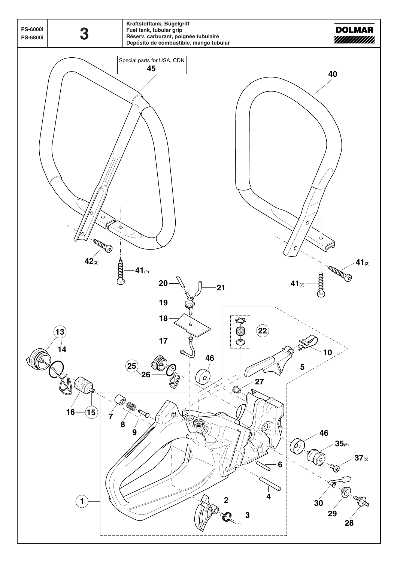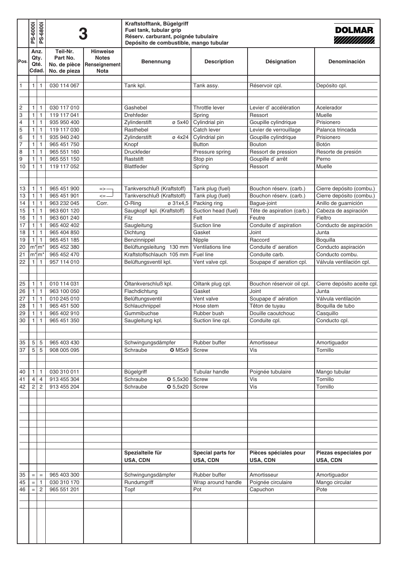|                 | PS-6000i                      | PS-6800i          |                                                      |                                                                 | Kraftstofftank, Bügelgriff<br>Fuel tank, tubular grip<br>Réserv. carburant, poignée tubulaire<br>Depósito de combustible, mango tubular |                             |                                      | <b>DOLMAR</b><br>////////////   |  |
|-----------------|-------------------------------|-------------------|------------------------------------------------------|-----------------------------------------------------------------|-----------------------------------------------------------------------------------------------------------------------------------------|-----------------------------|--------------------------------------|---------------------------------|--|
| Pos.            | Anz.<br>Qty.<br>Qté.<br>Cdad. |                   | Teil-Nr.<br>Part No.<br>No. de pièce<br>No. de pieza | <b>Hinweise</b><br><b>Notes</b><br>Renseignement<br><b>Nota</b> | <b>Benennung</b>                                                                                                                        | <b>Description</b>          | <b>Désignation</b>                   | Denominación                    |  |
| 1               | 1                             | 1                 | 030 114 067                                          |                                                                 | Tank kpl.                                                                                                                               | Tank assy.                  | Réservoir cpl.                       | Depósito cpl.                   |  |
|                 |                               |                   |                                                      |                                                                 |                                                                                                                                         |                             |                                      |                                 |  |
|                 | 1                             | 1                 | 030 117 010                                          |                                                                 | Gashebel                                                                                                                                | <b>Throttle lever</b>       | Levier d'accélération                | Acelerador                      |  |
| $\frac{2}{3}$   | $\mathbf{1}$                  | 1                 | 119 117 041                                          |                                                                 | <b>Drehfeder</b>                                                                                                                        | Spring                      | Ressort                              | Muelle                          |  |
| $\overline{4}$  | $\mathbf{1}$                  | 1                 | 935 950 400                                          |                                                                 | ø 5x40<br>Zylinderstift                                                                                                                 | Cylindrial pin              | Goupille cylindrique                 | Prisionero                      |  |
| $\overline{5}$  | $\mathbf{1}$                  | $\mathbf{1}$      | 119 117 030                                          |                                                                 | Rasthebel                                                                                                                               | Catch lever                 | Levier de verrouillage               | Palanca trincada                |  |
| $\overline{6}$  | $\mathbf{1}$                  | 1                 | 935 940 240                                          |                                                                 | Zylinderstift<br>ø 4x24                                                                                                                 | Cylindrial pin              | Goupille cylindrique                 | Prisionero                      |  |
| $\overline{7}$  | $\mathbf{1}$                  | 1                 | 965 451 750                                          |                                                                 | Knopf                                                                                                                                   | <b>Button</b>               | <b>Bouton</b>                        | Botón                           |  |
| $\overline{8}$  | $\mathbf{1}$                  | 1                 | 965 551 160                                          |                                                                 | Druckfeder                                                                                                                              | Pressure spring             | Ressort de pression                  | Resorte de presión              |  |
| $\overline{9}$  | 1                             | 1                 | 965 551 150                                          |                                                                 | Raststift                                                                                                                               | Stop pin                    | Goupille d'arrêt                     | Perno                           |  |
| 10              | $\mathbf{1}$                  | 1                 | 119 117 052                                          |                                                                 | <b>Blattfeder</b>                                                                                                                       | Spring                      | Ressort                              | Muelle                          |  |
| 13              | $\mathbf{1}$                  | 1                 | 965 451 900                                          | $\Rightarrow$                                                   | Tankverschluß (Kraftstoff)                                                                                                              | Tank plug (fuel)            | Bouchon réserv. (carb.)              | Cierre depósito (combu.)        |  |
| $\overline{13}$ | $\mathbf{1}$                  | $\mathbf{1}$      | 965 451 901                                          | $\leq$                                                          | Tankverschluß (Kraftstoff)                                                                                                              | Tank plug (fuel)            | Bouchon réserv. (carb.)              | Cierre depósito (combu.)        |  |
| 14              | $\mathbf{1}$                  | 1                 | 963 232 045                                          | Corr.                                                           | O-Ring<br>ø 31x4,5                                                                                                                      | Packing ring                | Bague-joint                          | Anillo de guarnición            |  |
| 15<br>16        | $\mathbf{1}$<br>$\mathbf{1}$  | 1<br>$\mathbf{1}$ | 963 601 120<br>963 601 240                           |                                                                 | Saugkopf kpl. (Kraftstoff)<br>Filz                                                                                                      | Suction head (fuel)<br>Felt | Tête de aspiration (carb.)<br>Feutre | Cabeza de aspiración<br>Fieltro |  |
| 17              | $\mathbf{1}$                  | 1                 | 965 402 402                                          |                                                                 | Saugleitung                                                                                                                             | Suction line                | Conduite d' aspiration               | Conducto de aspiración          |  |
| 18              | $\mathbf{1}$                  | 1                 | 965 404 850                                          |                                                                 | Dichtung                                                                                                                                | Gasket                      | Joint                                | Junta                           |  |
| 19              | $\mathbf{1}$                  | $\mathbf{1}$      | 965 451 185                                          |                                                                 | Benzinnippel                                                                                                                            | Nipple                      | Raccord                              | Boquilla                        |  |
| $\overline{20}$ | m* m*                         |                   | 965 452 380                                          |                                                                 | Belüftungsleitung 130 mm                                                                                                                | Ventilations line           | Conduite d' aeration                 | Conducto aspiración             |  |
| $\overline{21}$ |                               | m* m*             | 965 452 470                                          |                                                                 | Kraftstoffschlauch 105 mm                                                                                                               | Fuel line                   | Conduite carb.                       | Conducto combu.                 |  |
| 22              | 1                             | 1                 | 957 114 010                                          |                                                                 | Belüftungsventil kpl.                                                                                                                   | Vent valve cpl.             | Soupape d' aeration cpl.             | Válvula ventilación cpl.        |  |
| 25              | $\mathbf{1}$                  | 1                 | 010 114 031                                          |                                                                 | Öltankverschluß kpl.                                                                                                                    | Oiltank plug cpl.           | Bouchon réservoir oil cpl.           | Cierre depósito aceite cpl.     |  |
| $\overline{26}$ | $\overline{1}$                | 1                 | 963 100 050                                          |                                                                 | Flachdichtung                                                                                                                           | Gasket                      | Joint                                | Junta                           |  |
| $\overline{27}$ | $\mathbf{1}$                  | 1                 | 010 245 010                                          |                                                                 | Belüftungsventil                                                                                                                        | Vent valve                  | Soupape d'aération                   | Válvula ventilación             |  |
| 28              | $\mathbf{1}$                  | 1                 | 965 451 500                                          |                                                                 | Schlauchnippel                                                                                                                          | Hose stem                   | Têton de tuyau                       | Boquilla de tubo                |  |
| $\overline{29}$ | $\mathbf{1}$                  | 1                 | 965 402 910                                          |                                                                 | Gummibuchse                                                                                                                             | Rubber bush                 | Douille caoutchouc                   | Casquillo                       |  |
| 30              | $1 \mid 1$                    |                   | 965 451 350                                          |                                                                 | Saugleitung kpl.                                                                                                                        | Suction line cpl.           | Conduite cpl.                        | Conducto cpl.                   |  |
| 35              | $\overline{5}$                | 5                 | 965 403 430                                          |                                                                 | Schwingungsdämpfer                                                                                                                      | Rubber buffer               | Amortisseur                          | Amortiguador                    |  |
| $\overline{37}$ | $\sqrt{5}$                    | 5                 | 908 005 095                                          |                                                                 | Schraube<br>$Q$ M <sub>5x9</sub>                                                                                                        | <b>Screw</b>                | Vis                                  | Tornillo                        |  |
|                 |                               |                   |                                                      |                                                                 |                                                                                                                                         |                             |                                      |                                 |  |
| 40              | $\mathbf{1}$                  | 1                 | 030 310 011                                          |                                                                 | Bügelgriff                                                                                                                              | <b>Tubular handle</b>       | Poignée tubulaire                    | Mango tubular                   |  |
| $\overline{41}$ | 4                             | 4                 | 913 455 304                                          |                                                                 | Schraube<br>$Q$ 5,5x30                                                                                                                  | Screw                       | Vis                                  | Tornillo                        |  |
| 42              | $\overline{c}$                | $\overline{c}$    | 913 455 204                                          |                                                                 | Schraube<br>$Q$ 5,5x20                                                                                                                  | Screw                       | Vis                                  | Tornillo                        |  |
|                 |                               |                   |                                                      |                                                                 |                                                                                                                                         |                             |                                      |                                 |  |
|                 |                               |                   |                                                      |                                                                 |                                                                                                                                         |                             |                                      |                                 |  |
|                 |                               |                   |                                                      |                                                                 |                                                                                                                                         |                             |                                      |                                 |  |
|                 |                               |                   |                                                      |                                                                 | Spezialteile für                                                                                                                        | Special parts for           | Pièces spéciales pour                | Piezas especiales por           |  |
|                 |                               |                   |                                                      |                                                                 | USA, CDN                                                                                                                                | USA, CDN                    | USA, CDN                             | USA, CDN                        |  |
| 35              | $\,=\,$                       | $\,=\,$           | 965 403 300                                          |                                                                 | Schwingungsdämpfer                                                                                                                      | Rubber buffer               | Amortisseur                          | Amortiguador                    |  |
| $\overline{45}$ | $\equiv$                      | $\overline{1}$    | 030 310 170                                          |                                                                 | Rundumgriff                                                                                                                             | Wrap around handle          | Poignée circulaire                   | Mango circular                  |  |
| 46              | $\quad \  \  =$               | $\overline{c}$    | 965 551 201                                          |                                                                 | Topf                                                                                                                                    | Pot                         | Capuchon                             | Pote                            |  |
|                 |                               |                   |                                                      |                                                                 |                                                                                                                                         |                             |                                      |                                 |  |
|                 |                               |                   |                                                      |                                                                 |                                                                                                                                         |                             |                                      |                                 |  |
|                 |                               |                   |                                                      |                                                                 |                                                                                                                                         |                             |                                      |                                 |  |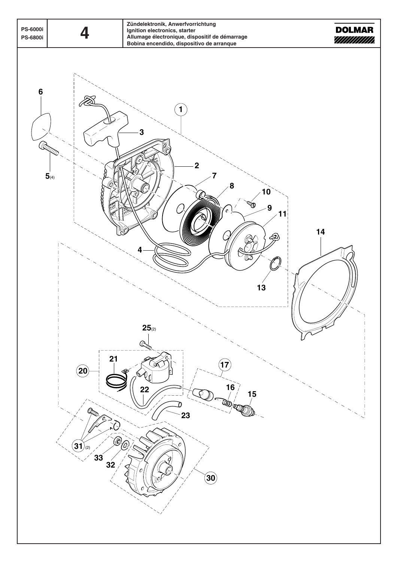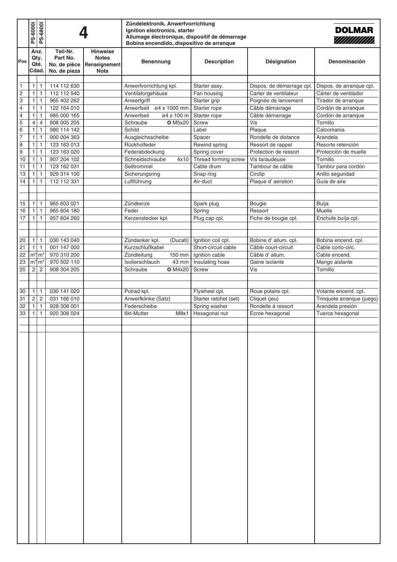|                 | PS-6000i       | <b>PS-6800i</b>         |                                                      |                                                                 | Zündelektronik, Anwerfvorrichtung<br>Ignition electronics, starter<br>Allumage électronique, dispositif de démarrage<br>Bobina encendido, dispositivo de arranque |                         | <b>DOLMAR</b><br>/////////////            |                               |  |
|-----------------|----------------|-------------------------|------------------------------------------------------|-----------------------------------------------------------------|-------------------------------------------------------------------------------------------------------------------------------------------------------------------|-------------------------|-------------------------------------------|-------------------------------|--|
| Pos.            | Qty.           | Anz.<br>Qté.<br>Cdad.   | Teil-Nr.<br>Part No.<br>No. de pièce<br>No. de pieza | <b>Hinweise</b><br><b>Notes</b><br>Renseignement<br><b>Nota</b> | Benennung                                                                                                                                                         | <b>Description</b>      | Désignation                               | Denominación                  |  |
| 1               | 1              | $\mathbf{1}$            | 114 112 630                                          |                                                                 | Anwerfvorrichtung kpl.                                                                                                                                            | Starter assy.           | Dispos. de démarrage cpl.                 | Dispos. de arranque cpl.      |  |
| $\overline{2}$  | 1              | $\mathbf{1}$            | 112 112 540                                          |                                                                 | Ventilatorgehäuse                                                                                                                                                 | Fan housing             | Carter de ventilateur                     | Cárter de ventilador          |  |
| $\overline{3}$  | 1              | $\mathbf{1}$            | 965 402 262                                          |                                                                 | Anwerfgriff                                                                                                                                                       | Starter grip            | Poignée de lancement                      | Tirador de arranque           |  |
| $\overline{4}$  | 1              | $\mathbf{1}$            | 122 164 010                                          |                                                                 | Anwerfseil ø4 x 1000 mm                                                                                                                                           | Starter rope            | Câble démarrage                           | Cordón de arranque            |  |
| $\overline{4}$  | 1              | $\mathbf{1}$            | 985 000 165                                          |                                                                 | Anwerfseil<br>ø4 x 100 m                                                                                                                                          | Starter rope            | Câble démarrage                           | Cordón de arranque            |  |
| $\overline{5}$  | 4              | $\overline{\mathbf{4}}$ | 908 005 205                                          |                                                                 | Schraube<br><b>C</b> M5x20                                                                                                                                        | Screw                   | Vis                                       | Tornillo                      |  |
| 6<br>7          | 1              | 1                       | 980 114 142                                          |                                                                 | Schild                                                                                                                                                            | Label                   | Plaque                                    | Calcomania                    |  |
| $\overline{8}$  | 1<br>1         | $\mathbf{1}$<br>1       | 900 004 363<br>123 163 013                           |                                                                 | Ausgleichsscheibe<br>Rückholfeder                                                                                                                                 | Spacer<br>Rewind spring | Rondelle de distance<br>Ressort de rappel | Arandela<br>Resorte retención |  |
| $\overline{9}$  | 1              | 1                       | 123 163 020                                          |                                                                 | Federabdeckung                                                                                                                                                    | Spring cover            | Protection de ressort                     | Protección de muelle          |  |
| 10              | $\mathbf{1}$   | $\mathbf{1}$            | 907 204 102                                          |                                                                 | Schneidschraube<br>4x10                                                                                                                                           | Thread forming screw    | Vis taraudeuse                            | Tornillo                      |  |
| 11              | 1              | $\mathbf{1}$            | 123 162 031                                          |                                                                 | Seiltrommel                                                                                                                                                       | Cable drum              | Tambour de câble                          | Tambor para cordón            |  |
| 13              | 1              | 1                       | 929 314 100                                          |                                                                 | Sicherungsring                                                                                                                                                    | Snap ring               | Circlip                                   | Anillo seguridad              |  |
| 14              | 1              | $\mathbf{1}$            | 112 112 331                                          |                                                                 | Luftführung                                                                                                                                                       | Air-duct                | Plaque d' aeration                        | Guía de aire                  |  |
|                 |                |                         |                                                      |                                                                 |                                                                                                                                                                   |                         |                                           |                               |  |
| 15              | 1              | $\mathbf{1}$            | 965 603 021                                          |                                                                 | Zündkerze                                                                                                                                                         |                         | Bougie                                    | Buíja                         |  |
| 16              | 1              | $\mathbf{1}$            | 965 604 180                                          |                                                                 | Feder                                                                                                                                                             | Spark plug<br>Spring    | Ressort                                   | Muelle                        |  |
| 17              | 1              | 1                       | 957 604 260                                          |                                                                 | Kerzenstecker kpl.                                                                                                                                                | Plug cap cpl.           | Fiche de bougie cpl.                      | Enchufe buíja cpl.            |  |
|                 |                |                         |                                                      |                                                                 |                                                                                                                                                                   |                         |                                           |                               |  |
| 20              | 1              | 1                       | 030 143 040                                          |                                                                 | Zündanker kpl.<br>(Ducati)                                                                                                                                        | Ignition coil cpl.      | Bobine d' allum. cpl.                     | Bobina encend. cpl.           |  |
| 21              | 1              | $\mathbf{1}$            | 001 147 000                                          |                                                                 | Kurzschlußkabel                                                                                                                                                   | Short-circuit cable     | Câble court-circuit                       | Cable corto-circ.             |  |
| $\overline{22}$ |                | $m^*$   $m^*$           | 970 310 200                                          |                                                                 | Zündleitung<br>150 mm                                                                                                                                             | Ignition cable          | Câble d'allum.                            | Cable encend.                 |  |
| 23              | $m^*$          | m*                      | 970 502 110                                          |                                                                 | Isolierschlauch<br>43 mm                                                                                                                                          | Insulating hose         | Gaine isolante                            | Mango aislante                |  |
| 25              | $\overline{c}$ | $\overline{2}$          | 908 304 205                                          |                                                                 | Schraube<br><b>C</b> M4x20                                                                                                                                        | Screw                   | Vis                                       | Tornillo                      |  |
|                 |                |                         |                                                      |                                                                 |                                                                                                                                                                   |                         |                                           |                               |  |
| 30              | 1              | $\mathbf{1}$            | 030 141 020                                          |                                                                 | Polrad kpl.                                                                                                                                                       | Flywheel cpl.           | Roue polaire cpl.                         | Volante encend. cpl.          |  |
| $\overline{31}$ | $\sqrt{2}$     | $\sqrt{2}$              | 031 166 010                                          |                                                                 | Anwerfklinke (Satz)                                                                                                                                               | Starter ratchet (set)   | Cliquet (jeu)                             | Trinquete arranque (juego)    |  |
| 32              | 1              | $\mathbf{1}$            | 928 308 001                                          |                                                                 | Federscheibe                                                                                                                                                      | Spring washer           | Rondelle á ressort                        | Arandela presión              |  |
| 33              | $\mathbf{1}$   | $\mathbf{1}$            | 920 308 024                                          |                                                                 | 6kt-Mutter<br>M8x1                                                                                                                                                | Hexagonal nut           | Ecroe hexagonal                           | Tuerca hexagonal              |  |
|                 |                |                         |                                                      |                                                                 |                                                                                                                                                                   |                         |                                           |                               |  |
|                 |                |                         |                                                      |                                                                 |                                                                                                                                                                   |                         |                                           |                               |  |
|                 |                |                         |                                                      |                                                                 |                                                                                                                                                                   |                         |                                           |                               |  |
|                 |                |                         |                                                      |                                                                 |                                                                                                                                                                   |                         |                                           |                               |  |
|                 |                |                         |                                                      |                                                                 |                                                                                                                                                                   |                         |                                           |                               |  |
|                 |                |                         |                                                      |                                                                 |                                                                                                                                                                   |                         |                                           |                               |  |
|                 |                |                         |                                                      |                                                                 |                                                                                                                                                                   |                         |                                           |                               |  |
|                 |                |                         |                                                      |                                                                 |                                                                                                                                                                   |                         |                                           |                               |  |
|                 |                |                         |                                                      |                                                                 |                                                                                                                                                                   |                         |                                           |                               |  |
|                 |                |                         |                                                      |                                                                 |                                                                                                                                                                   |                         |                                           |                               |  |
|                 |                |                         |                                                      |                                                                 |                                                                                                                                                                   |                         |                                           |                               |  |
|                 |                |                         |                                                      |                                                                 |                                                                                                                                                                   |                         |                                           |                               |  |
|                 |                |                         |                                                      |                                                                 |                                                                                                                                                                   |                         |                                           |                               |  |
|                 |                |                         |                                                      |                                                                 |                                                                                                                                                                   |                         |                                           |                               |  |
|                 |                |                         |                                                      |                                                                 |                                                                                                                                                                   |                         |                                           |                               |  |
|                 |                |                         |                                                      |                                                                 |                                                                                                                                                                   |                         |                                           |                               |  |
|                 |                |                         |                                                      |                                                                 |                                                                                                                                                                   |                         |                                           |                               |  |
|                 |                |                         |                                                      |                                                                 |                                                                                                                                                                   |                         |                                           |                               |  |
|                 |                |                         |                                                      |                                                                 |                                                                                                                                                                   |                         |                                           |                               |  |
|                 |                |                         |                                                      |                                                                 |                                                                                                                                                                   |                         |                                           |                               |  |
|                 |                |                         |                                                      |                                                                 |                                                                                                                                                                   |                         |                                           |                               |  |
|                 |                |                         |                                                      |                                                                 |                                                                                                                                                                   |                         |                                           |                               |  |
|                 |                |                         |                                                      |                                                                 |                                                                                                                                                                   |                         |                                           |                               |  |
|                 |                |                         |                                                      |                                                                 |                                                                                                                                                                   |                         |                                           |                               |  |
|                 |                |                         |                                                      |                                                                 |                                                                                                                                                                   |                         |                                           |                               |  |
|                 |                |                         |                                                      |                                                                 |                                                                                                                                                                   |                         |                                           |                               |  |
|                 |                |                         |                                                      |                                                                 |                                                                                                                                                                   |                         |                                           |                               |  |
|                 |                |                         |                                                      |                                                                 |                                                                                                                                                                   |                         |                                           |                               |  |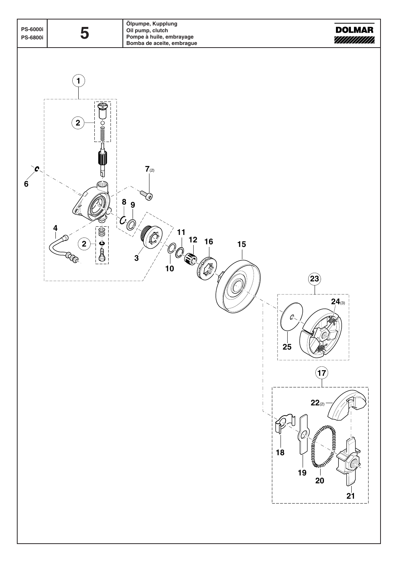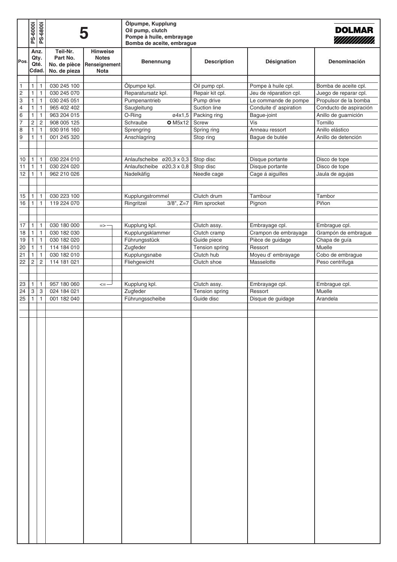|                                  | PS-6000i                       | <b>PS-6800i</b>                         |                                                      | 5                                                               | Ölpumpe, Kupplung<br>Oil pump, clutch<br>Pompe à huile, embrayage<br>Bomba de aceite, embrague |                       |                        | <b>DOLMAR</b><br>7777777777777   |
|----------------------------------|--------------------------------|-----------------------------------------|------------------------------------------------------|-----------------------------------------------------------------|------------------------------------------------------------------------------------------------|-----------------------|------------------------|----------------------------------|
| Pos.                             | Anz.<br>Qty.<br>Qté.<br>Cdad.  |                                         | Teil-Nr.<br>Part No.<br>No. de pièce<br>No. de pieza | <b>Hinweise</b><br><b>Notes</b><br>Renseignement<br><b>Nota</b> | <b>Benennung</b>                                                                               | <b>Description</b>    | Désignation            | Denominación                     |
| 1                                | $\mathbf{1}$                   | 1                                       | 030 245 100                                          |                                                                 | Ölpumpe kpl.                                                                                   | Oil pump cpl.         | Pompe à huile cpl.     | Bomba de aceite cpl.             |
| $\overline{2}$                   | $\mathbf{1}$                   | $\mathbf{1}$                            | 030 245 070                                          |                                                                 | Reparatursatz kpl.                                                                             | Repair kit cpl.       | Jeu de réparation cpl. | Juego de reparar cpl.            |
| $\overline{3}$                   | $\mathbf{1}$                   | 1                                       | 030 245 051                                          |                                                                 | Pumpenantrieb                                                                                  | Pump drive            | Le commande de pompe   | Propulsor de la bomba            |
| $\overline{4}$                   | $\mathbf{1}$                   | 1                                       | 965 402 402                                          |                                                                 | Saugleitung                                                                                    | Suction line          | Conduite d' aspiration | Conducto de aspiración           |
| $\overline{6}$<br>$\overline{7}$ | $\mathbf{1}$<br>$\overline{c}$ | $\mathbf{1}$                            | 963 204 015<br>908 005 125                           |                                                                 | O-Ring<br>ø4x1,5<br>Schraube<br>$Q$ M <sub>5x12</sub>                                          | Packing ring<br>Screw | Bague-joint<br>Vis     | Anillo de guarnición<br>Tornillo |
| $\overline{8}$                   | $\mathbf{1}$                   | $\overline{\mathbf{c}}$<br>$\mathbf{1}$ | 930 916 160                                          |                                                                 | Sprengring                                                                                     | Spring ring           | Anneau ressort         | Anillo elástico                  |
| $\overline{9}$                   | $\mathbf{1}$                   | 1                                       | 001 245 320                                          |                                                                 | Anschlagring                                                                                   | Stop ring             | Bague de butée         | Anillo de detención              |
|                                  |                                |                                         |                                                      |                                                                 |                                                                                                |                       |                        |                                  |
|                                  |                                |                                         |                                                      |                                                                 |                                                                                                |                       |                        |                                  |
| $10$                             | $\mathbf{1}$                   | 1                                       | 030 224 010                                          |                                                                 | Anlaufscheibe ø20,3 x 0,3                                                                      | Stop disc             | Disque portante        | Disco de tope                    |
| 11                               | $\mathbf{1}$                   | $\mathbf{1}$                            | 030 224 020                                          |                                                                 | Anlaufscheibe ø20,3 x 0,8                                                                      | Stop disc             | Disque portante        | Disco de tope                    |
| 12                               | $\mathbf{1}$                   | 1                                       | 962 210 026                                          |                                                                 | Nadelkäfig                                                                                     | Needle cage           | Cage á aiguilles       | Jaula de agujas                  |
|                                  |                                |                                         |                                                      |                                                                 |                                                                                                |                       |                        |                                  |
| 15                               | $\mathbf{1}$                   | $\mathbf{1}$                            | 030 223 100                                          |                                                                 | Kupplungstrommel                                                                               | Clutch drum           | Tambour                | Tambor                           |
| 16                               | $\mathbf{1}$                   | $\mathbf{1}$                            | 119 224 070                                          |                                                                 | $3/8$ ", Z=7<br>Ringritzel                                                                     | Rim sprocket          | Pignon                 | Piñon                            |
|                                  |                                |                                         |                                                      |                                                                 |                                                                                                |                       |                        |                                  |
| 17                               | $\mathbf{1}$                   | 1                                       | 030 180 000                                          | $\Rightarrow$                                                   | Kupplung kpl.                                                                                  | Clutch assy.          | Embrayage cpl.         | Embrague cpl.                    |
| 18                               | $\mathbf{1}$                   | 1                                       | 030 182 030                                          |                                                                 | Kupplungsklammer                                                                               | Clutch cramp          | Crampon de embrayage   | Grampón de embrague              |
| 19                               | $\mathbf{1}$                   | 1                                       | 030 182 020                                          |                                                                 | Führungsstück                                                                                  | Guide piece           | Pièce de guidage       | Chapa de guía                    |
| 20                               | $\mathbf{1}$                   | $\mathbf{1}$                            | 114 184 010                                          |                                                                 | Zugfeder                                                                                       | Tension spring        | Ressort                | Muelle                           |
| $\overline{21}$                  | $\mathbf{1}$                   | 1                                       | 030 182 010                                          |                                                                 | Kupplungsnabe                                                                                  | Clutch hub            | Moyeu d'embrayage      | Cobo de embrague                 |
| 22                               | $\overline{\mathbf{c}}$        | $\overline{\mathbf{c}}$                 | 114 181 021                                          |                                                                 | Fliehgewicht                                                                                   | Clutch shoe           | Masselotte             | Peso centrifuga                  |
|                                  |                                |                                         |                                                      |                                                                 |                                                                                                |                       |                        |                                  |
| 23                               | $\mathbf{1}$                   | $\mathbf{1}$                            | 957 180 060                                          | $\leq$                                                          | Kupplung kpl.                                                                                  | Clutch assy.          | Embrayage cpl.         | Embrague cpl.                    |
| $\overline{24}$                  | $\overline{3}$                 | $\overline{3}$                          | 024 184 021                                          |                                                                 | Zugfeder                                                                                       | Tension spring        | Ressort                | Muelle                           |
| $\overline{25}$                  | $\mathbf{1}$                   | $\mathbf{1}$                            | 001 182 040                                          |                                                                 | Führungsscheibe                                                                                | Guide disc            | Disque de guidage      | Arandela                         |
|                                  |                                |                                         |                                                      |                                                                 |                                                                                                |                       |                        |                                  |
|                                  |                                |                                         |                                                      |                                                                 |                                                                                                |                       |                        |                                  |
|                                  |                                |                                         |                                                      |                                                                 |                                                                                                |                       |                        |                                  |
|                                  |                                |                                         |                                                      |                                                                 |                                                                                                |                       |                        |                                  |
|                                  |                                |                                         |                                                      |                                                                 |                                                                                                |                       |                        |                                  |
|                                  |                                |                                         |                                                      |                                                                 |                                                                                                |                       |                        |                                  |
|                                  |                                |                                         |                                                      |                                                                 |                                                                                                |                       |                        |                                  |
|                                  |                                |                                         |                                                      |                                                                 |                                                                                                |                       |                        |                                  |
|                                  |                                |                                         |                                                      |                                                                 |                                                                                                |                       |                        |                                  |
|                                  |                                |                                         |                                                      |                                                                 |                                                                                                |                       |                        |                                  |
|                                  |                                |                                         |                                                      |                                                                 |                                                                                                |                       |                        |                                  |
|                                  |                                |                                         |                                                      |                                                                 |                                                                                                |                       |                        |                                  |
|                                  |                                |                                         |                                                      |                                                                 |                                                                                                |                       |                        |                                  |
|                                  |                                |                                         |                                                      |                                                                 |                                                                                                |                       |                        |                                  |
|                                  |                                |                                         |                                                      |                                                                 |                                                                                                |                       |                        |                                  |
|                                  |                                |                                         |                                                      |                                                                 |                                                                                                |                       |                        |                                  |
|                                  |                                |                                         |                                                      |                                                                 |                                                                                                |                       |                        |                                  |
|                                  |                                |                                         |                                                      |                                                                 |                                                                                                |                       |                        |                                  |
|                                  |                                |                                         |                                                      |                                                                 |                                                                                                |                       |                        |                                  |
|                                  |                                |                                         |                                                      |                                                                 |                                                                                                |                       |                        |                                  |
|                                  |                                |                                         |                                                      |                                                                 |                                                                                                |                       |                        |                                  |
|                                  |                                |                                         |                                                      |                                                                 |                                                                                                |                       |                        |                                  |
|                                  |                                |                                         |                                                      |                                                                 |                                                                                                |                       |                        |                                  |
|                                  |                                |                                         |                                                      |                                                                 |                                                                                                |                       |                        |                                  |
|                                  |                                |                                         |                                                      |                                                                 |                                                                                                |                       |                        |                                  |
|                                  |                                |                                         |                                                      |                                                                 |                                                                                                |                       |                        |                                  |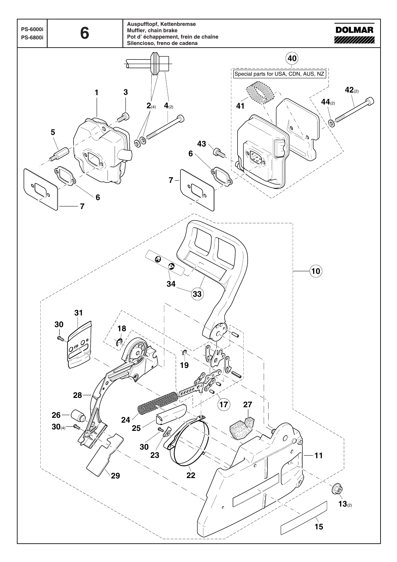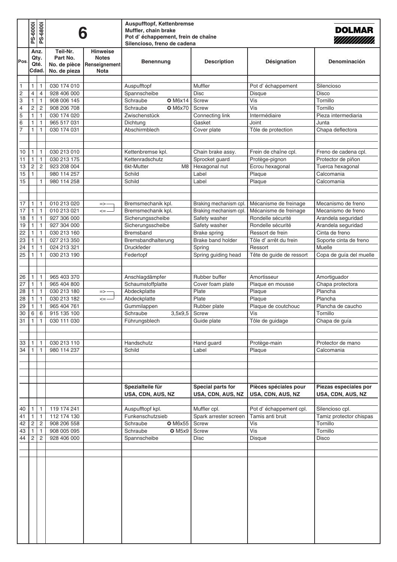|                                    | PS-6000i                     | <b>PS-6800i</b>         |                                                      | Ō                                                               | <b>Auspufftopf, Kettenbremse</b><br>Muffler, chain brake<br>Pot d'échappement, frein de chaîne<br>Silencioso, freno de cadena |                                          | <b>DOLMAR</b><br>////////////              |                                            |
|------------------------------------|------------------------------|-------------------------|------------------------------------------------------|-----------------------------------------------------------------|-------------------------------------------------------------------------------------------------------------------------------|------------------------------------------|--------------------------------------------|--------------------------------------------|
| Pos.                               | Anz.<br>Qty.<br>Qté.         | Cdad.                   | Teil-Nr.<br>Part No.<br>No. de pièce<br>No. de pieza | <b>Hinweise</b><br><b>Notes</b><br>Renseignement<br><b>Nota</b> | <b>Benennung</b>                                                                                                              | <b>Description</b>                       | Désignation                                | Denominación                               |
| $\mathbf{1}$                       | $\mathbf{1}$                 | $\mathbf{1}$            | 030 174 010                                          |                                                                 | Auspufftopf                                                                                                                   | Muffler                                  | Pot d'échappement                          | Silencioso                                 |
| $\overline{2}$                     | 4                            | $\overline{4}$          | 928 406 000                                          |                                                                 | Spannscheibe                                                                                                                  | <b>Disc</b>                              | <b>Disque</b>                              | Disco                                      |
| $\overline{3}$                     | $\mathbf{1}$                 | $\mathbf{1}$            | 908 006 145                                          |                                                                 | Schraube<br><b>O</b> M6x14                                                                                                    | <b>Screw</b>                             | Vis                                        | Tornillo                                   |
| $\overline{4}$                     | $\mathsf{2}\,$               | $\sqrt{2}$              | 908 206 708                                          |                                                                 | <b>C</b> M6x70<br>Schraube                                                                                                    | Screw                                    | Vis                                        | Tornillo                                   |
| $\overline{5}$                     | $\mathbf{1}$                 | 1                       | 030 174 020                                          |                                                                 | Zwischenstück                                                                                                                 | Connecting link                          | Intermédiaire                              | Pieza intermediaria                        |
| $\overline{6}$<br>$\overline{7}$   | 1                            | 1                       | 965 517 031                                          |                                                                 | Dichtung                                                                                                                      | Gasket                                   | Joint                                      | Junta                                      |
|                                    | $\mathbf{1}$                 | 1                       | 030 174 031                                          |                                                                 | Abschirmblech                                                                                                                 | Cover plate                              | Tôle de protection                         | Chapa deflectora                           |
| 10                                 | $\mathbf{1}$                 | 1                       | 030 213 010                                          |                                                                 | Kettenbremse kpl.                                                                                                             | Chain brake assy.                        | Frein de chaîne cpl.                       | Freno de cadena cpl.                       |
| $\overline{11}$                    | $\mathbf{1}$                 | 1                       | 030 213 175                                          |                                                                 | Kettenradschutz                                                                                                               | Sprocket guard                           | Protège-pignon                             | Protector de piñon                         |
| 13                                 | $\sqrt{2}$                   | $\overline{\mathbf{c}}$ | 923 208 004                                          |                                                                 | M <sub>8</sub><br>6kt-Mutter                                                                                                  | Hexagonal nut                            | Ecrou hexagonal                            | Tuerca hexagonal                           |
| $\overline{15}$<br>$\overline{15}$ | $\mathbf{1}$                 |                         | 980 114 257                                          |                                                                 | Schild                                                                                                                        | Label                                    | Plaque                                     | Calcomania                                 |
|                                    |                              | 1                       | 980 114 258                                          |                                                                 | Schild                                                                                                                        | Label                                    | Plaque                                     | Calcomania                                 |
| 17                                 | 1                            | 1                       | 010 213 020                                          | $\Rightarrow$                                                   | Bremsmechanik kpl.                                                                                                            | Braking mechanism cpl.                   | Mécanisme de freinage                      | Mecanismo de freno                         |
| 17                                 | $\mathbf{1}$                 | 1                       | 010 213 021                                          | $\leq$                                                          | Bremsmechanik kpl.                                                                                                            | Braking mechanism cpl.                   | Mécanisme de freinage                      | Mecanismo de freno                         |
| 18                                 | $\mathbf{1}$                 | 1                       | 927 306 000                                          |                                                                 | Sicherungsscheibe                                                                                                             | Safety washer                            | Rondelle sécurité                          | Arandela seguridad                         |
| 19                                 | $\mathbf{1}$                 | 1                       | 927 304 000                                          |                                                                 | Sicherungsscheibe                                                                                                             | Safety washer                            | Rondelle sécurité                          | Arandela seguridad                         |
| 22<br>23                           | $\mathbf{1}$<br>$\mathbf{1}$ | 1<br>1                  | 030 213 160<br>027 213 350                           |                                                                 | <b>Bremsband</b>                                                                                                              | <b>Brake spring</b><br>Brake band holder | Ressort de frein<br>Tôle d' arrêt du frein | Cinta de freno<br>Soporte cinta de freno   |
| $\overline{24}$                    | $\mathbf{1}$                 | 1                       | 024 213 321                                          |                                                                 | Bremsbandhalterung<br><b>Druckfeder</b>                                                                                       | Spring                                   | Ressort                                    | Muelle                                     |
| 25                                 | $\mathbf{1}$                 | 1                       | 030 213 190                                          |                                                                 | Federtopf                                                                                                                     | Spring guiding head                      | Tête de guide de ressort                   | Copa de guía del muelle                    |
|                                    |                              |                         |                                                      |                                                                 |                                                                                                                               |                                          |                                            |                                            |
|                                    |                              |                         |                                                      |                                                                 |                                                                                                                               |                                          |                                            |                                            |
| 26                                 | $\mathbf{1}$                 | 1                       | 965 403 370                                          |                                                                 | Anschlagdämpfer                                                                                                               | Rubber buffer                            | Amortisseur                                | Amortiguador                               |
| $\overline{27}$                    | $\mathbf{1}$                 | 1                       | 965 404 800<br>030 213 180                           |                                                                 | Schaumstoffplatte                                                                                                             | Cover foam plate<br>Plate                | Plaque en mousse                           | Chapa protectora                           |
| 28<br>28                           | $\mathbf{1}$<br>$\mathbf{1}$ | 1<br>1                  | 030 213 182                                          | $\Rightarrow$<br>$\leq$                                         | Abdeckplatte<br>Abdeckplatte                                                                                                  | Plate                                    | Plaque<br>Plaque                           | Plancha<br>Plancha                         |
| $\overline{29}$                    | $\mathbf{1}$                 | 1                       | 965 404 761                                          |                                                                 | Gummilappen                                                                                                                   | Rubber plate                             | Plaque de coutchouc                        | Plancha de caucho                          |
| $\overline{30}$                    | 6                            | 6                       | 915 135 100                                          |                                                                 | 3,5x9,5<br>Schraube                                                                                                           | Screw                                    | Vis                                        | Tornillo                                   |
| 31                                 | $\mathbf{1}$                 | $\overline{1}$          | 030 111 030                                          |                                                                 | Führungsblech                                                                                                                 | Guide plate                              | Tôle de guidage                            | Chapa de guía                              |
|                                    |                              |                         |                                                      |                                                                 |                                                                                                                               |                                          |                                            |                                            |
|                                    |                              |                         |                                                      |                                                                 |                                                                                                                               |                                          |                                            |                                            |
| 33<br>34                           | 1                            | 1                       | 030 213 110                                          |                                                                 | Handschutz                                                                                                                    | Hand guard                               | Protège-main                               | Protector de mano                          |
|                                    | $\mathbf{1}$                 | 1                       | 980 114 237                                          |                                                                 | Schild                                                                                                                        | Label                                    | Plaque                                     | Calcomania                                 |
|                                    |                              |                         |                                                      |                                                                 |                                                                                                                               |                                          |                                            |                                            |
|                                    |                              |                         |                                                      |                                                                 |                                                                                                                               |                                          |                                            |                                            |
|                                    |                              |                         |                                                      |                                                                 | Spezialteile für<br>USA, CDN, AUS, NZ                                                                                         | Special parts for<br>USA, CDN, AUS, NZ   | Pièces spéciales pour<br>USA, CDN, AUS, NZ | Piezas especiales por<br>USA, CDN, AUS, NZ |
| 40                                 | $\mathbf{1}$                 | 1                       | 119 174 241                                          |                                                                 | Auspufftopf kpl.                                                                                                              | Muffler cpl.                             | Pot d'échappement cpl.                     | Silencioso cpl.                            |
| $\overline{41}$                    | $\mathbf{1}$                 | $\mathbf{1}$            | 112 174 130                                          |                                                                 | Funkenschutzsieb                                                                                                              | Spark arrester screen                    | Tamis anti bruit                           | Tamiz protector chispas                    |
| $\overline{42}$                    | $\overline{2}$               | $\overline{2}$          | 908 206 558                                          |                                                                 | Schraube<br><b>O</b> M6x55                                                                                                    | Screw                                    | Vis                                        | Tornillo                                   |
| 43                                 | $\mathbf{1}$                 | 1                       | 908 005 095                                          |                                                                 | Schraube<br>$Q$ M <sub>5x9</sub>                                                                                              | Screw                                    | Vis                                        | Tornillo                                   |
| $\overline{44}$                    | $\overline{2}$               | $\sqrt{2}$              | 928 406 000                                          |                                                                 | Spannscheibe                                                                                                                  | Disc                                     | Disque                                     | Disco                                      |
|                                    |                              |                         |                                                      |                                                                 |                                                                                                                               |                                          |                                            |                                            |
|                                    |                              |                         |                                                      |                                                                 |                                                                                                                               |                                          |                                            |                                            |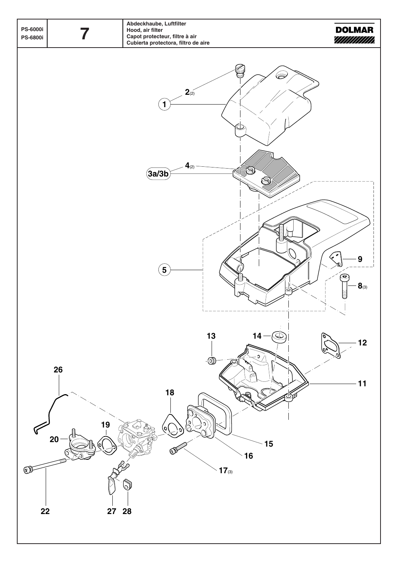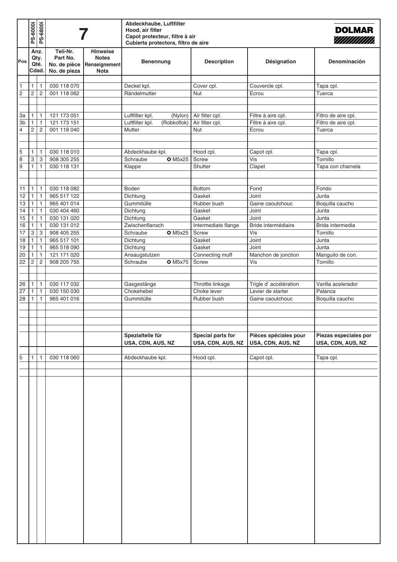|                | PS-6000i          | PS-6800i              |                                                      |                                                                 | Abdeckhaube, Luftfilter<br>Hood, air filter<br>Capot protecteur, filtre à air | Cubierta protectora, filtro de aire    |                                            |                                            |
|----------------|-------------------|-----------------------|------------------------------------------------------|-----------------------------------------------------------------|-------------------------------------------------------------------------------|----------------------------------------|--------------------------------------------|--------------------------------------------|
| Pos.           | Qté.              | Anz.<br>Qty.<br>Cdad. | Teil-Nr.<br>Part No.<br>No. de pièce<br>No. de pieza | <b>Hinweise</b><br><b>Notes</b><br>Renseignement<br><b>Nota</b> | <b>Benennung</b>                                                              | <b>Description</b>                     | Désignation                                | Denominación                               |
| 1              | 1                 | 1                     | 030 118 070                                          |                                                                 | Deckel kpl.                                                                   | Cover cpl.                             | Couvercle cpl.                             | Tapa cpl.                                  |
| $\overline{2}$ | $\overline{c}$    | $\overline{c}$        | 001 118 062                                          |                                                                 | Rändelmutter                                                                  | Nut                                    | Ecrou                                      | Tuerca                                     |
|                |                   |                       |                                                      |                                                                 |                                                                               |                                        |                                            |                                            |
|                |                   |                       |                                                      |                                                                 |                                                                               |                                        |                                            |                                            |
| 3a             | 1                 | 1                     | 121 173 051                                          |                                                                 | Luftfilter kpl.<br>(Nylon)                                                    | Air filter cpl.                        | Filtre à aire cpl.                         | Filtro de aire cpl.                        |
| 3b<br>4        | $\mathbf{1}$<br>2 | $\mathbf{1}$<br>2     | 121 173 151<br>001 118 040                           |                                                                 | Luftfilter kpl.<br>(Robkoflok)<br>Mutter                                      | Air filter cpl.<br>Nut                 | Filtre à aire cpl.<br>Ecrou                | Filtro de aire cpl.<br>Tuerca              |
|                |                   |                       |                                                      |                                                                 |                                                                               |                                        |                                            |                                            |
|                |                   |                       |                                                      |                                                                 |                                                                               |                                        |                                            |                                            |
| 5              | 1                 | 1                     | 030 118 010                                          |                                                                 | Abdeckhaube kpl.                                                              | Hood cpl.                              | Capot cpl.                                 | Tapa cpl.                                  |
| 8              | 3                 | 3                     | 908 305 255                                          |                                                                 | Schraube<br><b>O</b> M5x25                                                    | <b>Screw</b>                           | Vis                                        | Tornillo                                   |
| 9              | $\mathbf{1}$      | 1                     | 030 118 131                                          |                                                                 | Klappe                                                                        | Shutter                                | Clapet                                     | Tapa con charnela                          |
|                |                   |                       |                                                      |                                                                 |                                                                               |                                        |                                            |                                            |
| 11             | $\mathbf{1}$      | 1                     | 030 118 082                                          |                                                                 | Boden                                                                         | <b>Bottom</b>                          | Fond                                       | Fondo                                      |
| 12             | 1                 | 1                     | 965 517 122                                          |                                                                 | Dichtung                                                                      | Gasket                                 | Joint                                      | Junta                                      |
| 13             | $\mathbf{1}$      | 1                     | 965 401 014                                          |                                                                 | Gummitülle                                                                    | Rubber bush                            | Gaine caoutchouc                           | Boquilla caucho                            |
| 14             | $\mathbf{1}$      | 1                     | 030 404 460                                          |                                                                 | Dichtung                                                                      | Gasket                                 | Joint                                      | Junta                                      |
| 15             | $\mathbf{1}$      | 1                     | 030 131 020                                          |                                                                 | Dichtung                                                                      | Gasket                                 | Joint                                      | Junta                                      |
| 16<br>17       | $\mathbf{1}$<br>3 | $\mathbf{1}$<br>3     | 030 131 012<br>908 405 255                           |                                                                 | Zwischenflansch<br>Schraube<br><b>O</b> M5x25                                 | Intermediate flange<br>Screw           | Bride intermédiaire<br>Vis                 | Brida intermedia<br>Tornillo               |
| 18             | $\mathbf{1}$      | 1                     | 965 517 101                                          |                                                                 | Dichtung                                                                      | Gasket                                 | Joint                                      | Junta                                      |
| 19             | 1                 | 1                     | 965 518 090                                          |                                                                 | Dichtung                                                                      | Gasket                                 | Joint                                      | Junta                                      |
| 20             | $\mathbf{1}$      | 1                     | 121 171 020                                          |                                                                 | Ansaugstutzen                                                                 | Connecting muff                        | Manchon de jonction                        | Manguito de con.                           |
| 22             | $\overline{c}$    | 2                     | 908 205 755                                          |                                                                 | Schraube<br>$\overline{\text{O}}$ M5x75                                       | Screw                                  | Vis                                        | Tornillo                                   |
|                |                   |                       |                                                      |                                                                 |                                                                               |                                        |                                            |                                            |
| 26             | $\mathbf{1}$      | 1                     | 030 117 032                                          |                                                                 | Gasgestänge                                                                   | Throttle linkage                       | Trigle d' accélération                     | Varilla acelerador                         |
| 27             | 1                 | 1                     | 030 150 030                                          |                                                                 | Chokehebel                                                                    | Choke lever                            | Levier de starter                          | Palanca                                    |
| 28             | $\mathbf{1}$      | 1                     | 965 401 016                                          |                                                                 | Gummitülle                                                                    | Rubber bush                            | Gaine caoutchouc                           | Boquilla caucho                            |
|                |                   |                       |                                                      |                                                                 |                                                                               |                                        |                                            |                                            |
|                |                   |                       |                                                      |                                                                 |                                                                               |                                        |                                            |                                            |
|                |                   |                       |                                                      |                                                                 |                                                                               |                                        |                                            |                                            |
|                |                   |                       |                                                      |                                                                 | Spezialteile für<br>USA, CDN, AUS, NZ                                         | Special parts for<br>USA, CDN, AUS, NZ | Pièces spéciales pour<br>USA, CDN, AUS, NZ | Piezas especiales por<br>USA, CDN, AUS, NZ |
| 5              | 1                 | 1                     | 030 118 060                                          |                                                                 | Abdeckhaube kpl.                                                              | Hood cpl.                              | Capot cpl.                                 | Tapa cpl.                                  |
|                |                   |                       |                                                      |                                                                 |                                                                               |                                        |                                            |                                            |
|                |                   |                       |                                                      |                                                                 |                                                                               |                                        |                                            |                                            |
|                |                   |                       |                                                      |                                                                 |                                                                               |                                        |                                            |                                            |
|                |                   |                       |                                                      |                                                                 |                                                                               |                                        |                                            |                                            |
|                |                   |                       |                                                      |                                                                 |                                                                               |                                        |                                            |                                            |
|                |                   |                       |                                                      |                                                                 |                                                                               |                                        |                                            |                                            |
|                |                   |                       |                                                      |                                                                 |                                                                               |                                        |                                            |                                            |
|                |                   |                       |                                                      |                                                                 |                                                                               |                                        |                                            |                                            |
|                |                   |                       |                                                      |                                                                 |                                                                               |                                        |                                            |                                            |
|                |                   |                       |                                                      |                                                                 |                                                                               |                                        |                                            |                                            |
|                |                   |                       |                                                      |                                                                 |                                                                               |                                        |                                            |                                            |
|                |                   |                       |                                                      |                                                                 |                                                                               |                                        |                                            |                                            |
|                |                   |                       |                                                      |                                                                 |                                                                               |                                        |                                            |                                            |
|                |                   |                       |                                                      |                                                                 |                                                                               |                                        |                                            |                                            |
|                |                   |                       |                                                      |                                                                 |                                                                               |                                        |                                            |                                            |
|                |                   |                       |                                                      |                                                                 |                                                                               |                                        |                                            |                                            |
|                |                   |                       |                                                      |                                                                 |                                                                               |                                        |                                            |                                            |
|                |                   |                       |                                                      |                                                                 |                                                                               |                                        |                                            |                                            |
|                |                   |                       |                                                      |                                                                 |                                                                               |                                        |                                            |                                            |
|                |                   |                       |                                                      |                                                                 |                                                                               |                                        |                                            |                                            |
|                |                   |                       |                                                      |                                                                 |                                                                               |                                        |                                            |                                            |
|                |                   |                       |                                                      |                                                                 |                                                                               |                                        |                                            |                                            |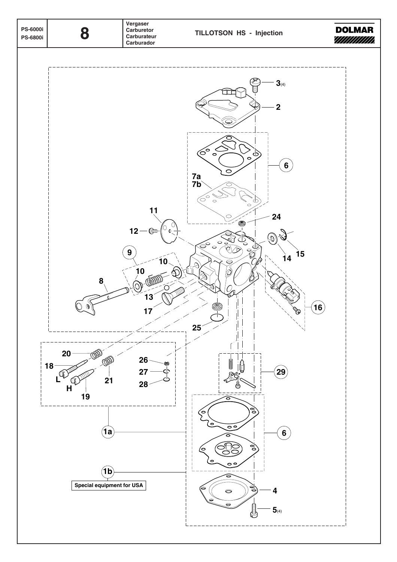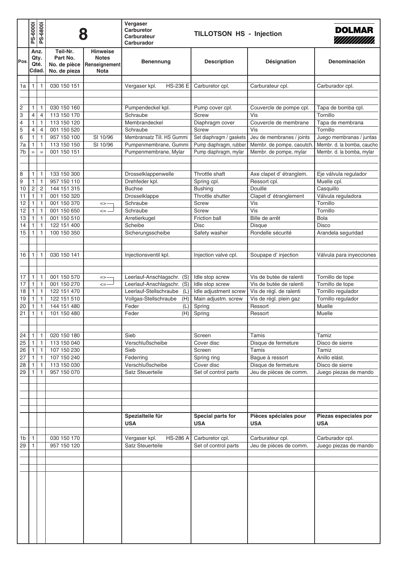|                 | PS-6000i                     | PS-6800i          |                                                      |                                                                 | Vergaser<br><b>Carburetor</b><br><b>Carburateur</b><br><b>Carburador</b> | <b>TILLOTSON HS - Injection</b>        |                                     | <b>DOLMAR</b><br>/////////////      |
|-----------------|------------------------------|-------------------|------------------------------------------------------|-----------------------------------------------------------------|--------------------------------------------------------------------------|----------------------------------------|-------------------------------------|-------------------------------------|
| Pos.            | Anz.<br>Qty.<br>Qté.<br>Cdad |                   | Teil-Nr.<br>Part No.<br>No. de pièce<br>No. de pieza | <b>Hinweise</b><br><b>Notes</b><br>Renseignement<br><b>Nota</b> | <b>Benennung</b>                                                         | <b>Description</b>                     | Désignation                         | Denominación                        |
| 1a              | 1                            | 1                 | 030 150 151                                          |                                                                 | <b>HS-236 E</b><br>Vergaser kpl.                                         | Carburetor cpl.                        | Carburateur cpl.                    | Carburador cpl.                     |
| $\frac{2}{3}$   | 1<br>4                       | 1<br>4            | 030 150 160<br>113 150 170                           |                                                                 | Pumpendeckel kpl.<br>Schraube                                            | Pump cover cpl.<br>Screw               | Couvercle de pompe cpl.<br>Vis      | Tapa de bomba cpl.<br>Tornillo      |
| $\overline{4}$  | 1                            | 1                 | 113 150 120                                          |                                                                 | Membrandeckel                                                            | Diaphragm cover                        | Couvercle de membrane               | Tapa de membrana                    |
| $\overline{5}$  | 4                            | 4                 | 001 150 520                                          |                                                                 | Schraube                                                                 | Screw                                  | Vis                                 | Tornillo                            |
| $\overline{6}$  | 1                            | 1                 | 957 150 100                                          | SI 10/96                                                        | Membransatz Till. HS Gummi                                               | Set diaphragm / gaskets                | Jeu de membranes / joints           | Juego membranas / juntas            |
| 7a              | 1                            | $\mathbf{1}$      | 113 150 150                                          | SI 10/96                                                        | Pumpenmembrane, Gummi                                                    | Pump diaphragm, rubber                 | Membr. de pompe, caoutch            | Membr. d. la bomba, caucho          |
| 7b              | $=$                          | $\qquad \qquad =$ | 001 150 151                                          |                                                                 | Pumpenmembrane, Mylar                                                    | Pump diaphragm, mylar                  | Membr. de pompe, mylar              | Membr. d. la bomba, mylar           |
| 8               | 1                            | 1                 | 133 150 300                                          |                                                                 | Drosselklappenwelle                                                      | Throttle shaft                         | Axe clapet d'étranglem.             | Eje válvula regulador               |
| $\overline{9}$  | 1                            | 1                 | 957 150 110<br>144 151 315                           |                                                                 | Drehfeder kpl.<br><b>Buchse</b>                                          | Spring cpl.<br><b>Bushing</b>          | Ressort cpl.<br>Douille             | Muelle cpl.<br>Casquillo            |
| 10<br>11        | $\sqrt{2}$<br>1              | $\sqrt{2}$<br>1   | 001 150 320                                          |                                                                 | Drosselklappe                                                            | Throttle shutter                       | Clapet d'étranglement               | Válvula reguladora                  |
| 12              | 1                            | 1                 | 001 150 370                                          | $\Rightarrow$                                                   | Schraube                                                                 | <b>Screw</b>                           | Vis                                 | Tornillo                            |
| 12              | 1                            | 1                 | 001 150 650                                          | $\leq$                                                          | Schraube                                                                 | Screw                                  | Vis                                 | Tornillo                            |
| $\overline{13}$ | 1                            | 1                 | 001 150 510                                          |                                                                 | Arretierkugel                                                            | <b>Friction ball</b>                   | Bille de arrêt                      | <b>Bola</b>                         |
| 14              | 1                            | $\mathbf{1}$      | 122 151 400                                          |                                                                 | Scheibe                                                                  | <b>Disc</b>                            | <b>Disque</b>                       | <b>Disco</b>                        |
| 15              | 1                            | $\mathbf{1}$      | 100 150 350                                          |                                                                 | Sicherungsscheibe                                                        | Safety washer                          | Rondelle sécurité                   | Arandela seguridad                  |
| 16              | 1                            | 1                 | 030 150 141                                          |                                                                 | Injectionsventil kpl.                                                    | Injection valve cpl.                   | Soupape d'injection                 | Válvula para inyecciones            |
|                 |                              |                   |                                                      |                                                                 |                                                                          |                                        |                                     |                                     |
| 17              | 1                            | 1                 | 001 150 570                                          | $\Rightarrow$                                                   | Leerlauf-Anschlagschr. (S)                                               | Idle stop screw                        | Vis de butée de ralenti             | Tornillo de tope                    |
| $\overline{17}$ | 1                            | 1                 | 001 150 270                                          | $\leq$                                                          | Leerlauf-Anschlagschr. (S)                                               | Idle stop screw                        | Vis de butée de ralenti             | Tornillo de tope                    |
| 18              | 1                            | 1                 | 122 151 470                                          |                                                                 | Leerlauf-Stellschraube (L)                                               | Idle adjustment screw                  | Vis de régl. de ralenti             | Tornillo regulador                  |
| 19              | 1                            | $\mathbf{1}$      | 122 151 510                                          |                                                                 | Vollgas-Stellschraube<br>(H)                                             | Main adjustm. screw                    | Vis de régl. plein gaz              | Tornillo regulador                  |
| $\overline{20}$ | 1                            | 1                 | 144 151 480                                          |                                                                 | Feder<br>(L)                                                             | Spring                                 | Ressort                             | Muelle                              |
| $\overline{21}$ | 1                            | 1                 | 101 150 480                                          |                                                                 | Feder<br>(H)                                                             | Spring                                 | Ressort                             | Muelle                              |
| 24              | 1                            | 1                 | 020 150 180                                          |                                                                 | Sieb                                                                     | Screen                                 | Tamis                               | Tamiz                               |
| $\overline{25}$ | $\mathbf{1}$                 | 1                 | 113 150 040                                          |                                                                 | Verschlußscheibe                                                         | Cover disc                             | Disque de fermeture                 | Disco de sierre                     |
| $\overline{26}$ | $\mathbf{1}$                 | $\mathbf{1}$      | 107 150 230                                          |                                                                 | Sieb                                                                     | Screen                                 | Tamis                               | Tamiz                               |
| $\overline{27}$ | $\mathbf{1}$                 | 1                 | 107 150 240                                          |                                                                 | Federring                                                                | Spring ring                            | Bague à ressort                     | Anillo elást.                       |
| 28              | 1                            | 1                 | 113 150 030                                          |                                                                 | Verschlußscheibe                                                         | Cover disc                             | Disque de fermeture                 | Disco de sierre                     |
| $\overline{29}$ | 1                            | $\mathbf{1}$      | 957 150 070                                          |                                                                 | Satz Steuerteile                                                         | Set of control parts                   | Jeu de pièces de comm.              | Juego piezas de mando               |
|                 |                              |                   |                                                      |                                                                 |                                                                          |                                        |                                     |                                     |
|                 |                              |                   |                                                      |                                                                 | Spezialteile für<br><b>USA</b>                                           | <b>Special parts for</b><br><b>USA</b> | Pièces spéciales pour<br><b>USA</b> | Piezas especiales por<br><b>USA</b> |
| 1 <sub>b</sub>  | $\mathbf{1}$                 |                   | 030 150 170                                          |                                                                 | Vergaser kpl.<br><b>HS-286 A</b>                                         | Carburetor cpl.                        | Carburateur cpl.                    | Carburador cpl.                     |
| 29              | 1                            |                   | 957 150 120                                          |                                                                 | Satz Steuerteile                                                         | Set of control parts                   | Jeu de pièces de comm.              | Juego piezas de mando               |
|                 |                              |                   |                                                      |                                                                 |                                                                          |                                        |                                     |                                     |
|                 |                              |                   |                                                      |                                                                 |                                                                          |                                        |                                     |                                     |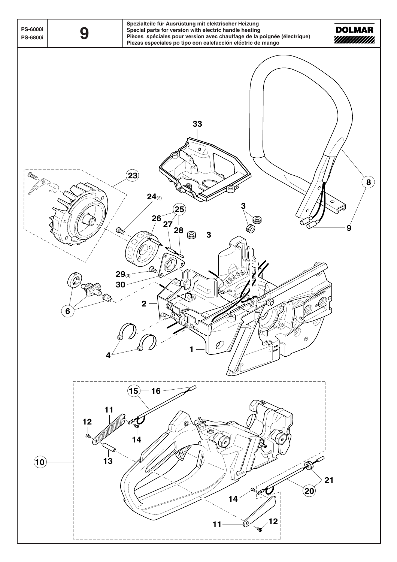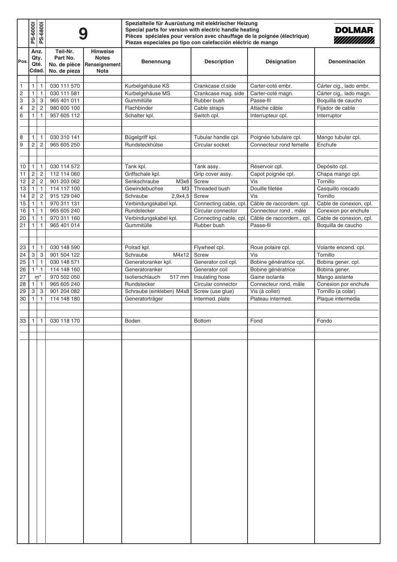|                     | PS-6000i                                                                                                                                                                     | PS-6800i                         | Spezialteile für Ausrüstung mit elektrischer Heizung<br>Special parts for version with electric handle heating<br>Pièces spéciales pour version avec chauffage de la poignée (électrique)<br>Piezas especiales po tipo con calefacción eléctric de mango |             |                                      |                                          | <b>DOLMAR</b><br>////////////          |                                                    |
|---------------------|------------------------------------------------------------------------------------------------------------------------------------------------------------------------------|----------------------------------|----------------------------------------------------------------------------------------------------------------------------------------------------------------------------------------------------------------------------------------------------------|-------------|--------------------------------------|------------------------------------------|----------------------------------------|----------------------------------------------------|
| lPos.               | Teil-Nr.<br>Anz.<br><b>Hinweise</b><br>Qty.<br>Part No.<br><b>Notes</b><br><b>Benennung</b><br>No. de pièce<br>Renseignement<br>Qté.<br>Cdad.<br>No. de pieza<br><b>Nota</b> |                                  | <b>Description</b>                                                                                                                                                                                                                                       | Désignation | Denominación                         |                                          |                                        |                                                    |
|                     |                                                                                                                                                                              |                                  | 030 111 570                                                                                                                                                                                                                                              |             |                                      |                                          |                                        |                                                    |
| 1                   | 1<br>1                                                                                                                                                                       | $\mathbf{1}$<br>$\mathbf{1}$     | 030 111 581                                                                                                                                                                                                                                              |             | Kurbelgehäuse KS<br>Kurbelgehäuse MS | Crankcase cl.side<br>Crankcase mag. side | Carter-coté embr.<br>Carter-coté magn. | Cárter cig., lado embr.<br>Cárter cig,. lado magn. |
| $\frac{2}{3}$       | 3                                                                                                                                                                            | $\ensuremath{\mathsf{3}}$        | 965 401 011                                                                                                                                                                                                                                              |             | Gummitülle                           | Rubber bush                              | Passe-fil                              | Boquilla de caucho                                 |
| $\overline{4}$      | $\overline{c}$                                                                                                                                                               | $\overline{c}$                   | 980 600 100                                                                                                                                                                                                                                              |             | Flachbinder                          | Cable straps                             | Attache câble                          | Fijador de cable                                   |
| 6                   | 1                                                                                                                                                                            | $\mathbf{1}$                     | 957 605 112                                                                                                                                                                                                                                              |             | Schalter kpl.                        | Switch cpl.                              | Interrupteur cpl.                      | Interruptor                                        |
|                     |                                                                                                                                                                              |                                  |                                                                                                                                                                                                                                                          |             |                                      |                                          |                                        |                                                    |
|                     |                                                                                                                                                                              |                                  |                                                                                                                                                                                                                                                          |             |                                      |                                          |                                        |                                                    |
| 8<br>$\overline{9}$ | 1                                                                                                                                                                            | 1                                | 030 310 141                                                                                                                                                                                                                                              |             | Bügelgriff kpl.                      | Tubular handle cpl.                      | Poignée tubulaire cpl.                 | Mango tubular cpl.                                 |
|                     | 2                                                                                                                                                                            | $\overline{2}$                   | 965 605 250                                                                                                                                                                                                                                              |             | Rundsteckhülse                       | Circular socket                          | Connecteur rond femelle                | Enchufe                                            |
|                     |                                                                                                                                                                              |                                  |                                                                                                                                                                                                                                                          |             |                                      |                                          |                                        |                                                    |
| 10                  | $\mathbf{1}$                                                                                                                                                                 | $\mathbf{1}$                     | 030 114 572                                                                                                                                                                                                                                              |             | Tank kpl.                            | Tank assy.                               | Réservoir cpl.                         | Depósito cpl.                                      |
| 11                  | $\overline{c}$                                                                                                                                                               | $\overline{c}$<br>$\overline{c}$ | 112 114 060<br>901 203 062                                                                                                                                                                                                                               |             | Griffschale kpl.<br>Senkschraube     | Grip cover assy.<br>Screw                | Capot poignée cpl.<br>Vis              | Chapa mango cpl.<br>Tornillo                       |
| 12                  | $\overline{c}$                                                                                                                                                               |                                  |                                                                                                                                                                                                                                                          |             | M3x6<br>Gewindebuchse                |                                          |                                        |                                                    |
| 13                  | 1                                                                                                                                                                            | $\mathbf{1}$                     | 114 117 100<br>915 129 040                                                                                                                                                                                                                               |             | ΜЗ<br>2,9x4,5                        | Threaded bush<br>Screw                   | Douille filetée<br>Vis                 | Casquillo roscado<br>Tornillo                      |
| 14                  | $\overline{c}$<br>$\mathbf{1}$                                                                                                                                               | $\sqrt{2}$<br>$\mathbf{1}$       | 970 311 131                                                                                                                                                                                                                                              |             | Schraube                             |                                          |                                        |                                                    |
| 15                  |                                                                                                                                                                              |                                  |                                                                                                                                                                                                                                                          |             | Verbindungskabel kpl.                | Connecting cable, cpl.                   | Câble de raccordem. cpl.               | Cable de conexion, cpl.                            |
| 16<br>20            | 1<br>1                                                                                                                                                                       | $\mathbf{1}$<br>$\mathbf{1}$     | 965 605 240<br>970 311 160                                                                                                                                                                                                                               |             | Rundstecker                          | Circular connector                       | Connecteur rond, mâle                  | Conexion por enchufe                               |
|                     |                                                                                                                                                                              |                                  |                                                                                                                                                                                                                                                          |             | Verbindungskabel kpl.                | Connecting cable, cpl                    | Câble de raccordem., cpl.              | Cable de conexion, cpl.                            |
| 21                  | 1                                                                                                                                                                            | $\mathbf{1}$                     | 965 401 014                                                                                                                                                                                                                                              |             | Gummitülle                           | Rubber bush                              | Passe-fil                              | Boquilla de caucho                                 |
| 23                  | $\mathbf{1}$                                                                                                                                                                 | $\mathbf{1}$                     | 030 148 590                                                                                                                                                                                                                                              |             | Polrad kpl.                          | Flywheel cpl.                            | Roue polaire cpl.                      | Volante encend. cpl.                               |
| 24                  | 3                                                                                                                                                                            | 3                                | 901 504 122                                                                                                                                                                                                                                              |             | M4x12<br>Schraube                    | Screw                                    | Vis                                    | Tornillo                                           |
| $\overline{25}$     | 1                                                                                                                                                                            | $\mathbf{1}$                     | 030 148 571                                                                                                                                                                                                                                              |             | Generatoranker kpl.                  | Generator coil cpl.                      | Bobine génératrice cpl.                | Bobina gener. cpl.                                 |
| 26                  | $\mathbf{1}$                                                                                                                                                                 | $\mathbf{1}$                     | 114 148 160                                                                                                                                                                                                                                              |             | Generatoranker                       | Generator coil                           | Bobine génératrice                     | Bobina gener.                                      |
| 27                  |                                                                                                                                                                              | $m^*$                            | 970 502 050                                                                                                                                                                                                                                              |             | Isolierschlauch<br>517 mm            | Insulating hose                          | Gaine isolante                         | Mango aislante                                     |
| 28                  | $\mathbf{1}$                                                                                                                                                                 | 1                                | 965 605 240                                                                                                                                                                                                                                              |             | Rundstecker                          | Circular connector                       | Connecteur rond, mâle                  | Conexion por enchufe                               |
| 29                  | 3                                                                                                                                                                            | 3                                | 901 204 082                                                                                                                                                                                                                                              |             | Schraube (einkleben) M4x8            | Screw (use glue)                         | Vis (à coller)                         | Tornillo (a colar)                                 |
| 30                  | $\mathbf{1}$                                                                                                                                                                 | $\mathbf{1}$                     | 114 148 180                                                                                                                                                                                                                                              |             | Generatorträger                      | Intermed. plate                          | Plateau intermed.                      | Plaque intermedia                                  |
|                     |                                                                                                                                                                              |                                  |                                                                                                                                                                                                                                                          |             |                                      |                                          |                                        |                                                    |
| 33                  |                                                                                                                                                                              | $\mathbf{1}$                     | 030 118 170                                                                                                                                                                                                                                              |             | <b>Boden</b>                         | <b>Bottom</b>                            | Fond                                   | Fondo                                              |
|                     | $\mathbf{1}$                                                                                                                                                                 |                                  |                                                                                                                                                                                                                                                          |             |                                      |                                          |                                        |                                                    |
|                     |                                                                                                                                                                              |                                  |                                                                                                                                                                                                                                                          |             |                                      |                                          |                                        |                                                    |
|                     |                                                                                                                                                                              |                                  |                                                                                                                                                                                                                                                          |             |                                      |                                          |                                        |                                                    |
|                     |                                                                                                                                                                              |                                  |                                                                                                                                                                                                                                                          |             |                                      |                                          |                                        |                                                    |
|                     |                                                                                                                                                                              |                                  |                                                                                                                                                                                                                                                          |             |                                      |                                          |                                        |                                                    |
|                     |                                                                                                                                                                              |                                  |                                                                                                                                                                                                                                                          |             |                                      |                                          |                                        |                                                    |
|                     |                                                                                                                                                                              |                                  |                                                                                                                                                                                                                                                          |             |                                      |                                          |                                        |                                                    |
|                     |                                                                                                                                                                              |                                  |                                                                                                                                                                                                                                                          |             |                                      |                                          |                                        |                                                    |
|                     |                                                                                                                                                                              |                                  |                                                                                                                                                                                                                                                          |             |                                      |                                          |                                        |                                                    |
|                     |                                                                                                                                                                              |                                  |                                                                                                                                                                                                                                                          |             |                                      |                                          |                                        |                                                    |
|                     |                                                                                                                                                                              |                                  |                                                                                                                                                                                                                                                          |             |                                      |                                          |                                        |                                                    |
|                     |                                                                                                                                                                              |                                  |                                                                                                                                                                                                                                                          |             |                                      |                                          |                                        |                                                    |
|                     |                                                                                                                                                                              |                                  |                                                                                                                                                                                                                                                          |             |                                      |                                          |                                        |                                                    |
|                     |                                                                                                                                                                              |                                  |                                                                                                                                                                                                                                                          |             |                                      |                                          |                                        |                                                    |
|                     |                                                                                                                                                                              |                                  |                                                                                                                                                                                                                                                          |             |                                      |                                          |                                        |                                                    |
|                     |                                                                                                                                                                              |                                  |                                                                                                                                                                                                                                                          |             |                                      |                                          |                                        |                                                    |
|                     |                                                                                                                                                                              |                                  |                                                                                                                                                                                                                                                          |             |                                      |                                          |                                        |                                                    |
|                     |                                                                                                                                                                              |                                  |                                                                                                                                                                                                                                                          |             |                                      |                                          |                                        |                                                    |
|                     |                                                                                                                                                                              |                                  |                                                                                                                                                                                                                                                          |             |                                      |                                          |                                        |                                                    |
|                     |                                                                                                                                                                              |                                  |                                                                                                                                                                                                                                                          |             |                                      |                                          |                                        |                                                    |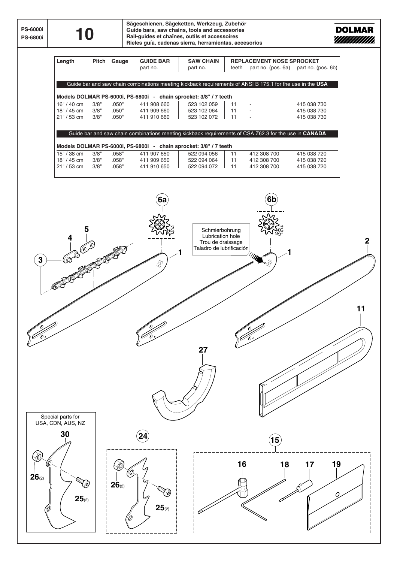**PS-6000i PS-6800i**

**10**

## **Sägeschienen, Sägeketten, Werkzeug, Zubehör Guide bars, saw chains, tools and accessories Rail-guides et chaînes, outils et accessoires Rieles guía, cadenas sierra, herramientas, accesorios**

| <b>DOLMAR</b> |
|---------------|
| ////////////  |

| Length                             | Pitch | Gauge | <b>GUIDE BAR</b><br>part no. | <b>SAW CHAIN</b><br>part no.   | teeth | <b>REPLACEMENT NOSE SPROCKET</b>                                                                             | part no. (pos. 6a) part no. (pos. 6b) |
|------------------------------------|-------|-------|------------------------------|--------------------------------|-------|--------------------------------------------------------------------------------------------------------------|---------------------------------------|
|                                    |       |       |                              |                                |       | Guide bar and saw chain combinations meeting kickback requirements of ANSI B 175.1 for the use in the USA    |                                       |
|                                    |       |       |                              |                                |       |                                                                                                              |                                       |
| Models DOLMAR PS-6000i, PS-6800i - |       |       |                              | chain sprocket: 3/8" / 7 teeth |       |                                                                                                              |                                       |
| $16" / 40$ cm                      | 3/8"  | .050" | 411 908 660                  | 523 102 059                    | 11    | $\blacksquare$                                                                                               | 415 038 730                           |
| $18" / 45$ cm                      | 3/8"  | .050" | 411 909 660                  | 523 102 064                    | 11    | $\blacksquare$                                                                                               | 415 038 730                           |
| $21" / 53$ cm                      | 3/8"  | .050" | 411 910 660                  | 523 102 072                    | 11    | $\blacksquare$                                                                                               | 415 038 730                           |
|                                    |       |       |                              |                                |       |                                                                                                              |                                       |
|                                    |       |       |                              |                                |       | Guide bar and saw chain combinations meeting kickback requirements of CSA Z62.3 for the use in <b>CANADA</b> |                                       |
|                                    |       |       |                              |                                |       |                                                                                                              |                                       |
| Models DOLMAR PS-6000i, PS-6800i - |       |       |                              | chain sprocket: 3/8" / 7 teeth |       |                                                                                                              |                                       |
| 15" / 38 cm                        | 3/8"  | .058" | 411 907 650                  | 522 094 056                    | 11    | 412 308 700                                                                                                  | 415 038 720                           |
| $18" / 45$ cm                      | 3/8"  | .058" | 411 909 650                  | 522 094 064                    | 11    | 412 308 700                                                                                                  | 415 038 720                           |
|                                    |       |       |                              |                                |       |                                                                                                              |                                       |

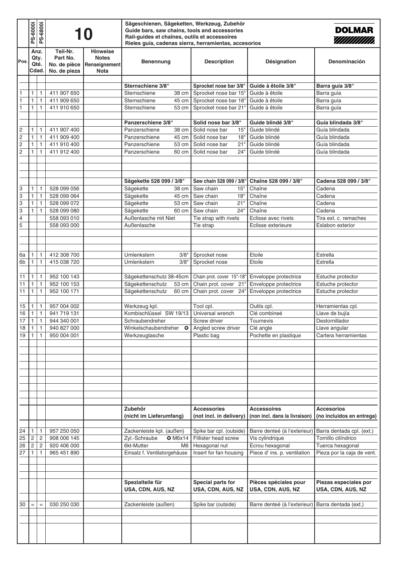|                                  | PS-6000i              | PS-6800i          |                                                      | IO)                                                             | Sägeschienen, Sägeketten, Werkzeug, Zubehör<br>Guide bars, saw chains, tools and accessories<br>Rail-guides et chaînes, outils et accessoires<br>Rieles guía, cadenas sierra, herramientas, accesorios | <b>DOLMAR</b><br>/////////////               |                                            |                                            |
|----------------------------------|-----------------------|-------------------|------------------------------------------------------|-----------------------------------------------------------------|--------------------------------------------------------------------------------------------------------------------------------------------------------------------------------------------------------|----------------------------------------------|--------------------------------------------|--------------------------------------------|
| Pos.                             | Anz.<br>Qté.<br>Cdad. | Qty.              | Teil-Nr.<br>Part No.<br>No. de pièce<br>No. de pieza | <b>Hinweise</b><br><b>Notes</b><br>Renseignement<br><b>Nota</b> | <b>Benennung</b>                                                                                                                                                                                       | <b>Description</b>                           | Désignation                                | Denominación                               |
|                                  |                       |                   |                                                      |                                                                 | Sternschiene 3/8"                                                                                                                                                                                      | Sprocket nose bar 3/8"                       | Guide à êtoile 3/8"                        | Barra guía 3/8"                            |
| 1                                | $\mathbf{1}$          | 1                 | 411 907 650                                          |                                                                 | Sternschiene<br>38 cm                                                                                                                                                                                  | Sprocket nose bar 15'                        | Guide à êtoile                             | Barra guía                                 |
| 1                                | $\mathbf{1}$          | 1                 | 411 909 650                                          |                                                                 | Sternschiene<br>45 cm                                                                                                                                                                                  | Sprocket nose bar 18'                        | Guide à êtoile                             | Barra guía                                 |
| $\mathbf{1}$                     | 1                     | 1                 | 411 910 650                                          |                                                                 | Sternschiene<br>53 cm                                                                                                                                                                                  | Sprocket nose bar 21'                        | Guide à êtoile                             | Barra guía                                 |
|                                  |                       |                   |                                                      |                                                                 |                                                                                                                                                                                                        |                                              |                                            |                                            |
|                                  | 1                     | 1                 | 411 907 400                                          |                                                                 | Panzerschiene 3/8"<br>Panzerschiene<br>38 cm                                                                                                                                                           | Solid nose bar 3/8"<br>Solid nose bar<br>15" | Guide blindé 3/8"<br>Guide blindé          | Guía blindada 3/8"<br>Guía blindada        |
| $\frac{2}{2}$                    | $\mathbf{1}$          | 1                 | 411 909 400                                          |                                                                 | Panzerschiene<br>45 cm                                                                                                                                                                                 | Solid nose bar<br>18"                        | Guide blindé                               | Guía blindada                              |
| $\overline{2}$                   | 1                     | 1                 | 411 910 400                                          |                                                                 | Panzerschiene<br>53 cm                                                                                                                                                                                 | Solid nose bar<br>21'                        | Guide blindé                               | Guía blindada                              |
| $\overline{2}$                   | 1                     | 1                 | 411 912 400                                          |                                                                 | Panzerschiene<br>60 cm                                                                                                                                                                                 | Solid nose bar<br>24"                        | Guide blindé                               | Guía blindada                              |
|                                  |                       |                   |                                                      |                                                                 |                                                                                                                                                                                                        |                                              |                                            |                                            |
|                                  |                       |                   |                                                      |                                                                 | Sägekette 528 099 / 3/8"                                                                                                                                                                               | Saw chain 528 099 / 3/8                      | Chaîne 528 099 / 3/8"                      | Cadena 528 099 / 3/8"                      |
| 3                                | 1                     | 1                 | 528 099 056                                          |                                                                 | Sägekette<br>38 cm                                                                                                                                                                                     | Saw chain<br>15"                             | Chaîne                                     | Cadena                                     |
| 3                                | 1                     | 1                 | 528 099 064                                          |                                                                 | Sägekette<br>45 cm                                                                                                                                                                                     | 18"<br>Saw chain                             | Chaîne                                     | Cadena                                     |
| $\overline{3}$                   | 1                     | 1                 | 528 099 072                                          |                                                                 | Sägekette<br>53 cm                                                                                                                                                                                     | Saw chain<br>21"                             | Chaîne                                     | Cadena                                     |
| $\overline{3}$<br>$\overline{4}$ | 1                     | 1                 | 528 099 080                                          |                                                                 | Sägekette<br>60 cm<br>Außenlasche mit Niet                                                                                                                                                             | 24"<br>Saw chain                             | Chaîne                                     | Cadena                                     |
| $\overline{5}$                   |                       |                   | 558 093 010<br>558 093 000                           |                                                                 | Außenlasche                                                                                                                                                                                            | Tie strap with rivets<br>Tie strap           | Eclisse avec rivets<br>Eclisse exterieure  | Tira ext. c. remaches<br>Eslabon exterior  |
|                                  |                       |                   |                                                      |                                                                 |                                                                                                                                                                                                        |                                              |                                            |                                            |
|                                  |                       |                   |                                                      |                                                                 |                                                                                                                                                                                                        |                                              |                                            |                                            |
| 6a                               | 1                     | 1                 | 412 308 700                                          |                                                                 | Umlenkstern<br>3/8"                                                                                                                                                                                    | Sprocket nose                                | Etoile                                     | Estrella                                   |
| 6b                               | 1                     | 1                 | 415 038 720                                          |                                                                 | Umlenkstern<br>3/8"                                                                                                                                                                                    | Sprocket nose                                | Etoile                                     | Estrella                                   |
| 11                               | $\mathbf{1}$          | 1                 | 952 100 143                                          |                                                                 | Sägekettenschutz 38-45cm                                                                                                                                                                               | Chain prot. cover 15"-18"                    | Enveloppe protectrice                      | Estuche protector                          |
| 11                               | $\mathbf{1}$          | 1                 | 952 100 153                                          |                                                                 | Sägekettenschutz<br>53 cm                                                                                                                                                                              | Chain prot. cover 21"                        | Enveloppe protectrice                      | Estuche protector                          |
| 11                               | $\mathbf{1}$          | 1                 | 952 100 171                                          |                                                                 | Sägekettenschutz<br>60 cm                                                                                                                                                                              | Chain prot. cover<br>24'                     | Enveloppe protectrice                      | Estuche protector                          |
|                                  |                       |                   |                                                      |                                                                 |                                                                                                                                                                                                        |                                              |                                            |                                            |
| 15<br>16                         | 1<br>$\mathbf{1}$     | 1<br>$\mathbf{1}$ | 957 004 002                                          |                                                                 | Werkzeug kpl.<br>Kombischlüssel SW 19/13                                                                                                                                                               | Tool cpl.<br>Universal wrench                | Outils cpl.<br>Clé combineé                | Herramientas cpl.<br>Llave de bujía        |
| 17                               | $\mathbf{1}$          | 1                 | 941 719 131<br>944 340 001                           |                                                                 | Schraubendreher                                                                                                                                                                                        | Screw driver                                 | Tournevis                                  | Destornillador                             |
| 18                               | $\mathbf{1}$          | 1                 | 940 827 000                                          |                                                                 | Winkelschaubendreher<br>O                                                                                                                                                                              | Angled screw driver                          | Clé angle                                  | Llave angular                              |
| 19                               | $\mathbf{1}$          | 1                 | 950 004 001                                          |                                                                 | Werkzeugtasche                                                                                                                                                                                         | Plastic bag                                  | Pochette en plastique                      | Cartera herramientas                       |
|                                  |                       |                   |                                                      |                                                                 |                                                                                                                                                                                                        |                                              |                                            |                                            |
|                                  |                       |                   |                                                      |                                                                 |                                                                                                                                                                                                        |                                              |                                            |                                            |
|                                  |                       |                   |                                                      |                                                                 |                                                                                                                                                                                                        |                                              |                                            |                                            |
|                                  |                       |                   |                                                      |                                                                 | Zubehör                                                                                                                                                                                                | <b>Accessories</b>                           | <b>Accessoires</b>                         | <b>Accesorios</b>                          |
|                                  |                       |                   |                                                      |                                                                 | (nicht im Lieferumfang)                                                                                                                                                                                | (not incl. in delivery)                      | (non incl. dans la livraison)              | (no incluidos en entrega)                  |
| 24                               | 1                     | 1                 | 957 250 050                                          |                                                                 | Zackenleiste kpl. (außen)                                                                                                                                                                              | Spike bar cpl. (outside)                     | Barre denteé (à l'exterieur)               | Barra dentada cpl. (ext.)                  |
| 25                               | $\sqrt{2}$            | 2                 | 908 006 145                                          |                                                                 | Zyl.-Schraube<br>$Q$ M6x14                                                                                                                                                                             | Fillister head screw                         | Vis cylindrique                            | Tornillo cilíndrico                        |
| 26                               | $\sqrt{2}$            | 2                 | 920 406 000                                          |                                                                 | 6kt-Mutter<br>M6                                                                                                                                                                                       | Hexagonal nut                                | Ecrou hexagonal                            | Tuerca hexagonal                           |
| 27                               | 1                     |                   | 965 451 890                                          |                                                                 | Einsatz f. Ventilatorgehäuse                                                                                                                                                                           | Insert for fan housing                       | Piece d' ins. p. ventilation               | Pieza por la caja de vent.                 |
|                                  |                       |                   |                                                      |                                                                 |                                                                                                                                                                                                        |                                              |                                            |                                            |
|                                  |                       |                   |                                                      |                                                                 |                                                                                                                                                                                                        |                                              |                                            |                                            |
|                                  |                       |                   |                                                      |                                                                 | Spezialteile für<br>USA, CDN, AUS, NZ                                                                                                                                                                  | Special parts for<br>USA, CDN, AUS, NZ       | Pièces spéciales pour<br>USA, CDN, AUS, NZ | Piezas especiales por<br>USA, CDN, AUS, NZ |
|                                  |                       |                   |                                                      |                                                                 |                                                                                                                                                                                                        |                                              |                                            |                                            |
| 30                               | $=$                   |                   | 030 250 030                                          |                                                                 | Zackenleiste (außen)                                                                                                                                                                                   | Spike bar (outside)                          | Barre denteé (à l'exterieur)               | Barra dentada (ext.)                       |
|                                  |                       |                   |                                                      |                                                                 |                                                                                                                                                                                                        |                                              |                                            |                                            |